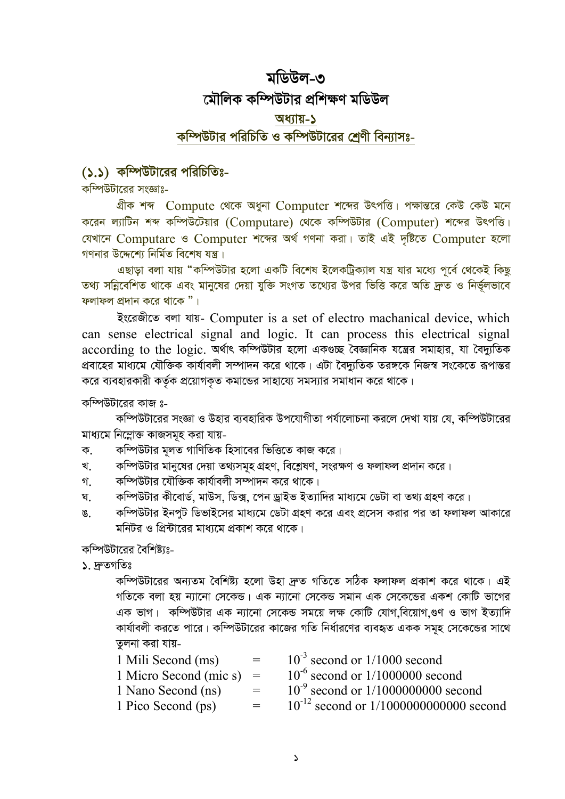# মডিউল-৩ মৌলিক কম্পিউটার প্রশিক্ষণ মডিউল অধ্যায়-১ কম্পিউটার পরিচিতি ও কম্পিউটারের শ্রেণী বিন্যাসঃ-

## (১.১) কম্পিউটারের পরিচিতিঃ-

কম্পিউটারের সংজ্ঞাঃ-

গ্রীক শব্দ Compute থেকে অধুনা Computer শব্দের উৎপত্তি। পক্ষান্তরে কেউ কেউ মনে করেন ল্যাটিন শব্দ কম্পিউটেয়ার (Computare) থেকে কম্পিউটার (Computer) শব্দের উৎপত্তি। যেখানে Computare ও Computer শব্দের অর্থ গণনা করা। তাই এই দৃষ্টিতে Computer হলো গণনার উদ্দেশ্যে নির্মিত বিশেষ যন্ত্র।

এছাড়া বলা যায় "কম্পিউটার হলো একটি বিশেষ ইলেকট্রিক্যাল যন্ত্র যার মধ্যে পূর্বে থেকেই কিছু তথ্য সন্নিবেশিত থাকে এবং মানুষের দেয়া যুক্তি সংগত তথ্যের উপর ভিত্তি করে অতি দ্রুত ও নির্ভুলভাবে ফলাফল প্রদান করে থাকে "।

ইংরেজীতে বলা যায়- Computer is a set of electro machanical device, which can sense electrical signal and logic. It can process this electrical signal according to the logic. অৰ্থাৎ কম্পিউটার হলো একণ্ডচ্ছ বৈজ্ঞানিক যন্ত্রের সমাহার, যা বৈদ্যুতিক প্রবাহের মায্যমে যৌক্তিক কার্যাবলী সম্পাদন করে থাকে। এটা বৈদ্যুতিক তরঙ্গকে নিজস্ব সংকেতে রূপান্তর করে ব্যবহারকারী কর্তৃক প্রয়োগকৃত কমান্ডের সাহায্যে সমস্যার সমাধান করে থাকে।

কম্পিউটারের কাজ ঃ-

কম্পিউটারের সংজ্ঞা ও উহার ব্যবহারিক উপযোগীতা পর্যালোচনা করলে দেখা যায় যে, কম্পিউটারের মাধ্যমে নিম্নোক্ত কাজসমূহ করা যায়-

- কম্পিউটার মূলত গাণিতিক হিসাবের ভিত্তিতে কাজ করে। ক.
- কম্পিউটার মানুষের দেয়া তথ্যসমূহ গ্রহণ, বিশ্লেষণ, সংরক্ষণ ও ফলাফল প্রদান করে। খ
- কম্পিউটার যৌক্তিক কার্যাবলী সম্পাদন করে থাকে। গ.
- কম্পিউটার কীবোর্ড, মাউস, ডিক্স, পেন ড্রাইভ ইত্যাদির মাধ্যমে ডেটা বা তথ্য গ্রহণ করে। घ
- কম্পিউটার ইনপুট ডিভাইসের মাধ্যমে ডেটা গ্রহণ করে এবং প্রসেস করার পর তা ফলাফল আকারে ঙ. মনিটর ও প্রিন্টারের মাধ্যমে প্রকাশ করে থাকে।

কম্পিউটারের বৈশিষ্ট্যঃ-

১. দ্ৰুতগতিঃ

কম্পিউটারের অন্যতম বৈশিষ্ট্য হলো উহা দ্রুত গতিতে সঠিক ফলাফল প্রকাশ করে থাকে। এই গতিকে বলা হয় ন্যানো সেকেন্ড। এক ন্যানো সেকেন্ড সমান এক সেকেন্ডের একশ কোটি ভাগের এক ভাগ। কম্পিউটার এক ন্যানো সেকেন্ড সময়ে লক্ষ কোটি যোগ বিয়োগ গুণ ও ভাগ ইত্যাদি কার্যাবলী করতে পারে। কম্পিউটারের কাজের গতি নির্ধারণের ব্যবহৃত একক সমহ সেকেন্ডের সাথে তুলনা করা যায়-

| 1 Mili Second (ms)         | $=$ $-$ | $10^{-3}$ second or $1/1000$ second           |
|----------------------------|---------|-----------------------------------------------|
| 1 Micro Second (mic s) $=$ |         | $10^{-6}$ second or $1/1000000$ second        |
| 1 Nano Second (ns)         | $=$     | $10^{-9}$ second or $1/1000000000$ second     |
| 1 Pico Second (ps)         | $=$     | $10^{-12}$ second or $1/1000000000000$ second |
|                            |         |                                               |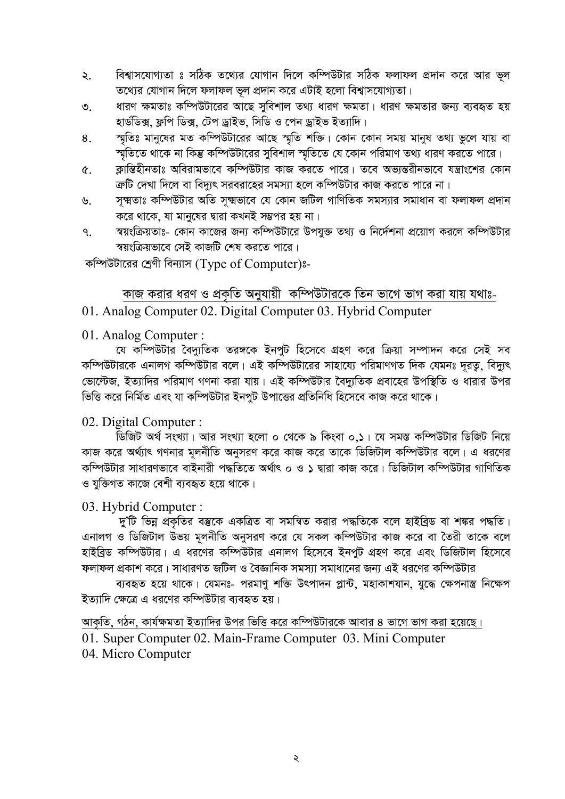- বিশ্বাসযোগ্যতা ঃ সঠিক তথ্যের যোগান দিলে কম্পিউটার সঠিক ফলাফল প্রদান করে আর ভূল ২. তথ্যের যোগান দিলে ফলাফল ভুল প্রদান করে এটাই হলো বিশ্বাসযোগ্যতা।
- ধারণ ক্ষমতাঃ কম্পিউটারের আছে সুবিশাল তথ্য ধারণ ক্ষমতা। ধারণ ক্ষমতার জন্য ব্যবহৃত হয়  $\mathcal{O}$ . হার্ডডিক্স, ফ্লপি ডিক্স, টেপ ড্রাইভ, সিডি ও পেন ড্রাইভ ইত্যাদি।
- স্মৃতিঃ মানুষের মত কম্পিউটারের আছে স্মৃতি শক্তি। কোন কোন সময় মানুষ তথ্য ভুলে যায় বা 8. স্মৃতিতে থাকে না কিন্তু কম্পিউটারের সুবিশাল স্মৃতিতে যে কোন পরিমাণ তথ্য ধারণ করতে পারে।
- ক্লান্তিহীনতাঃ অবিরামভাবে কম্পিউটার কাজ করতে পারে। তবে অভ্যন্তরীনভাবে যন্ত্রাংশের কোন  $\hat{\mathfrak{C}}$ . ক্রটি দেখা দিলে বা বিদ্যুৎ সরবরাহের সমস্যা হলে কম্পিউটার কাজ করতে পারে না।
- সূক্ষ্মতাঃ কম্পিউটার অতি সূক্ষ্মভাবে যে কোন জটিল গাণিতিক সমস্যার সমাধান বা ফলাফল প্রদান ৬. করে থাকে, যা মানুষের দ্বারা কখনই সম্ভপর হয় না।
- স্বয়ংক্রিয়তাঃ- কোন কাজের জন্য কম্পিউটারে উপযুক্ত তথ্য ও নির্দেশনা প্রয়োগ করলে কম্পিউটার  $\mathsf{P}$ স্বয়ংক্রিয়ভাবে সেই কাজটি শেষ করতে পারে।

কম্পিউটারের শ্রেণী বিন্যাস (Type of Computer)ঃ-

## কাজ করার ধরণ ও প্রকৃতি অনুযায়ী কম্পিউটারকে তিন ভাগে ভাগ করা যায় যথাঃ-

## 01. Analog Computer 02. Digital Computer 03. Hybrid Computer

### 01. Analog Computer:

যে কম্পিউটার বৈদ্যুতিক তরঙ্গকে ইনপুট হিসেবে গ্রহণ করে ক্রিয়া সম্পাদন করে সেই সব কম্পিউটারকে এনালগ কম্পিউটার বলে। এই কম্পিউটারের সাহায্যে পরিমাণগত দিক যেমনঃ দূরতু, বিদ্যুৎ ভোল্টেজ, ইত্যাদির পরিমাণ গণনা করা যায়। এই কম্পিউটার বৈদ্যতিক প্রবাহের উপস্থিতি ও ধারার উপর ভিত্তি করে নির্মিত এবং যা কম্পিউটার ইনপুট উপাত্তের প্রতিনিধি হিসেবে কাজ করে থাকে।

## 02. Digital Computer:

।<br>ডিজিট অর্থ সংখ্যা। আর সংখ্যা হলো ০ থেকে ৯ কিংবা ০.১। যে সমস্ত কম্পিউটার ডিজিট নিয়ে কাজ করে অর্থ্যাৎ গণনার মূলনীতি অনুসরণ করে কাজ করে তাকে ডিজিটাল কম্পিউটার বলে। এ ধরণের কম্পিউটার সাধারণভাবে বাইনারী পদ্ধতিতে অর্থাৎ ০ ও ১ দ্বারা কাজ করে। ডিজিটাল কম্পিউটার গাণিতিক ও যুক্তিগত কাজে বেশী ব্যবহৃত হয়ে থাকে।

## 03. Hybrid Computer:

দু'টি ভিন্ন প্রকৃতির বম্ভকে একত্রিত বা সমন্বিত করার পদ্ধতিকে বলে হাইব্রিড বা শঙ্কর পদ্ধতি। এনালগ ও ডিজিটাল উভয় মূলনীতি অনুসরণ করে যে সকল কম্পিউটার কাজ করে বা তৈরী তাকে বলে হাইব্রিড কম্পিউটার। এ ধরণের কম্পিউটার এনালগ হিসেবে ইনপুট গ্রহণ করে এবং ডিজিটাল হিসেবে ফলাফল প্রকাশ করে। সাধারণত জটিল ও বৈজ্ঞানিক সমস্যা সমাধানের জন্য এই ধরণের কম্পিউটার

ব্যবহৃত হয়ে থাকে। যেমনঃ- পরমাণু শক্তি উৎপাদন প্লান্ট, মহাকাশযান, যুদ্ধে ক্ষেপনাস্ত্র নিক্ষেপ ইত্যাদি ক্ষেত্রে এ ধরণের কম্পিউটার ব্যবহৃত হয়।

আকৃতি, গঠন, কার্যক্ষমতা ইত্যাদির উপর ভিত্তি করে কম্পিউটারকে আবার ৪ ভাগে ভাগ করা হয়েছে। 01. Super Computer 02. Main-Frame Computer 03. Mini Computer 04. Micro Computer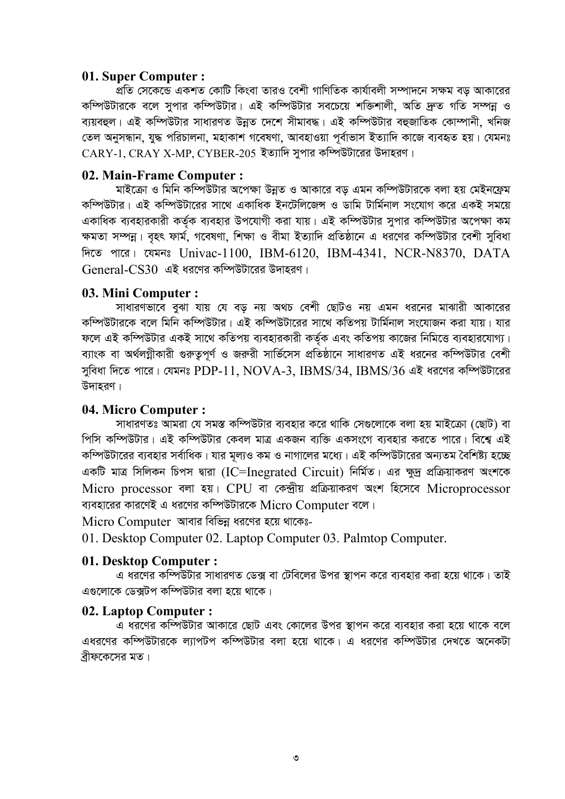#### 01. Super Computer :

্ন্রতি সেকেন্ডে একশত কোটি কিংবা তারও বেশী গাণিতিক কার্যাবলী সম্পাদনে সক্ষম বড আকারের কম্পিউটারকে বলে সুপার কম্পিউটার। এই কম্পিউটার সবচেয়ে শক্তিশালী, অতি দ্রুত গতি সম্পন্ন ও ব্যয়বহুল। এই কম্পিউটার সাধারণত উন্নত দেশে সীমাবদ্ধ। এই কম্পিউটার বহুজাতিক কোম্পানী, খনিজ তেল অনুসন্ধান, যুদ্ধ পরিচালনা, মহাকাশ গবেষণা, আবহাওয়া পর্বাভাস ইত্যাদি কাজে ব্যবহৃত হয়। যেমনঃ  $CARY-1$ .  $CRAY$  X-MP.  $CYBER-205$  ইত্যাদি সুপার কম্পিউটারের উদাহরণ।

#### 02. Main-Frame Computer :

মাইক্রো ও মিনি কম্পিউটার অপেক্ষা উন্নত ও আকারে বড এমন কম্পিউটারকে বলা হয় মেইনফ্রেম কম্পিউটার। এই কম্পিউটারের সাথে একাধিক ইনটেলিজেন্স ও ডামি টার্মিনাল সংযোগ করে একই সময়ে একাধিক ব্যবহারকারী কর্তক ব্যবহার উপযোগী করা যায়। এই কম্পিউটার সুপার কম্পিউটার অপেক্ষা কম ক্ষমতা সম্পন্ন। বহৎ ফার্ম, গবেষণা, শিক্ষা ও বীমা ইত্যাদি প্রতিষ্ঠানে এ ধরণের কম্পিউটার বেশী সবিধা দিতে পারে। যেমনঃ Univac-1100, IBM-6120, IBM-4341, NCR-N8370, DATA  $General-CS30$  এই ধরণের কম্পিউটারের উদাহরণ।

#### 03. Mini Computer :

সাধারণভাবে বুঝা যায় যে বড় নয় অথচ বেশী ছোটও নয় এমন ধরনের মাঝারী আকারের কম্পিউটারকে বলে মিনি কম্পিউটার। এই কম্পিউটারের সাথে কতিপয় টার্মিনাল সংযোজন করা যায়। যার ফলে এই কম্পিউটার একই সাথে কতিপয় ব্যবহারকারী কর্তক এবং কতিপয় কাজের নিমিত্তে ব্যবহারযোগ্য। ব্যাংক বা অর্থলগ্নীকারী গুরুতুপূর্ণ ও জরুরী সার্ভিসেস প্রতিষ্ঠানে সাধারণত এই ধরনের কম্পিউটার বেশী সুবিধা দিতে পারে। যেমনঃ PDP-11, NOVA-3, IBMS/34, IBMS/36 এই ধরণের কম্পিউটারের উদাহরণ।

#### 04. Micro Computer :

সাধারণতঃ আমরা যে সমস্ত কম্পিউটার ব্যবহার করে থাকি সেগুলোকে বলা হয় মাইক্রো (ছোট) বা পিসি কম্পিউটার। এই কম্পিউটার কেবল মাত্র একজন ব্যক্তি একসংগে ব্যবহার করতে পারে। বিশ্বে এই কম্পিউটারের ব্যবহার সর্বাধিক। যার মূল্যও কম ও নাগালের মধ্যে। এই কম্পিউটারের অন্যতম বৈশিষ্ট্য হচ্ছে একটি মাত্র সিলিকন চিপস দ্বারা (IC=Inegrated Circuit) নির্মিত। এর ক্ষুদ্র প্রক্রিয়াকরণ অংশকে Micro processor বলা হয়। CPU বা কেন্দ্ৰীয় প্ৰক্ৰিয়াকরণ অংশ হিসেবে Microprocessor ব্যবহারের কারণেই এ ধরণের কম্পিউটারকে Micro Computer বলে।

Micro Computer আবার বিভিন্ন ধরণের হয়ে থাকেঃ-

01. Desktop Computer 02. Laptop Computer 03. Palmtop Computer.

#### 01. Desktop Computer:

এ ধরণের কম্পিউটার সাধারণত ডেক্স বা টেবিলের উপর স্থাপন করে ব্যবহার করা হয়ে থাকে। তাই এগুলোকে ডেক্সটপ কম্পিউটার বলা হয়ে থাকে।

#### 02. Laptop Computer :

ত্র ধরণের কম্পিউটার আকারে ছোট এবং কোলের উপর স্থাপন করে ব্যবহার করা হয়ে থাকে বলে এধরণের কম্পিউটারকে ল্যাপটপ কম্পিউটার বলা হয়ে থাকে। এ ধরণের কম্পিউটার দেখতে অনেকটা বীফকেসের মত।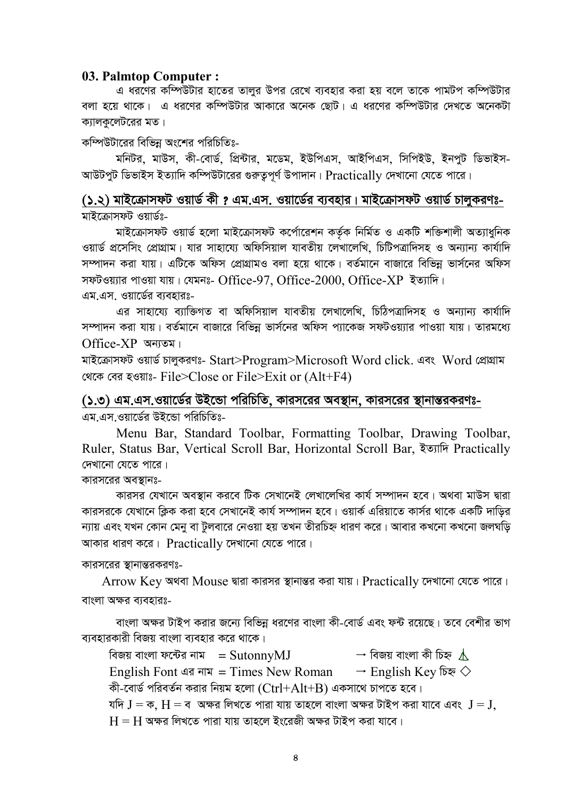#### **03. Palmtop Computer :**

এ ধর**ণে**র কম্পিউটার হাতের তালর উপর রেখে ব্যবহার করা হয় বলে তাকে পামটপ কম্পিউটার বলা হয়ে থাকে। এ ধরণের কম্পিউটার আকারে অনেক ছোট। এ ধরণের কম্পিউটার দেখতে অনেকটা ক্যালকুলেটরের মত।

কম্পিউটারের বিভিন্ন অংশের পরিচিতিঃ-

মনিটর, মাউস, কী-বোর্ড, প্রিন্টার, মডেম, ইউপিএস, আইপিএস, সিপিইউ, ইনপুট ডিভাইস-আউটপুট ডিভাইস ইত্যাদি কম্পিউটারের গুরুতুপূর্ণ উপাদান। Practically দেখানো যেতে পারে।

(১.২) মাইক্রোসফট ওয়ার্ড কী ? এম.এস. ওয়ার্ডের ব্যবহার। মাইক্রোসফট ওয়ার্ড চালুকরণঃ-মাইক্রোসফট ওয়ার্ডঃ-

মাইক্রোসফট ওয়ার্ড হলো মাইক্রোসফট কর্পোরেশন কর্তৃক নির্মিত ও একটি শক্তিশালী অত্যাধুনিক ওয়ার্ড প্রসেসিং প্রোগ্রাম। যার সাহায্যে অফিসিয়াল যাবতীয় লেখালেখি, চিটিপত্রাদিসহ ও অন্যান্য কার্যাদি সম্পাদন করা যায়। এটিকে অফিস প্রোগ্রামও বলা হয়ে থাকে। বর্তমানে বাজারে বিভিন্ন ভার্সনের অফিস সফটওয়্যার পাওয়া যায়। যেমনঃ- Office-97, Office-2000, Office-XP ইত্যাদি। এম এস. ওয়ার্ডের ব্যবহারঃ-

এর সাহায্যে ব্যাক্তিগত বা অফিসিয়াল যাবতীয় লেখালেখি, চিঠিপত্রাদিসহ ও অন্যান্য কার্যাদি সম্পাদন করা যায়। বর্তমানে বাজারে বিভিন্ন ভার্সনের অফিস প্যাকেজ সফটওয়্যার পাওয়া যায়। তারমধ্যে  $Office-XP$  অন্যতম।

মাইক্রোসফট ওয়ার্ড চালুকরণঃ- Start>Program>Microsoft Word click. এবং Word প্রোগ্রাম খেকে বের হওয়াঃ- File>Close or File>Exit or  $(Alt+F4)$ 

(১.৩) এম.এস.ওয়ার্ডের উইন্ডো পরিচিতি, কারসরের অবস্থান, কারসরের স্থানান্তরকরণঃ-এম.এস.ওয়ার্ডের উইন্ডো পরিচিতিঃ-

Menu Bar, Standard Toolbar, Formatting Toolbar, Drawing Toolbar, Ruler, Status Bar, Vertical Scroll Bar, Horizontal Scroll Bar, ইত্যাদি Practically দেখানো যেতে পারে।

কারসরের অবস্থানঃ-

কারসর যেখানে অবস্থান করবে টিক সেখানেই লেখালেখির কার্য সম্পাদন হবে। অথবা মাউস দ্বারা কারসরকে যেখানে ক্লিক করা হবে সেখানেই কার্য সম্পাদন হবে। ওয়ার্ক এরিয়াতে কার্সর থাকে একটি দাডির ন্যায় এবং যখন কোন মেনু বা টুলবারে নেওয়া হয় তখন তীরচিহ্ন ধারণ করে। আবার কখনো কখনো জলঘড়ি আকার ধারণ করে।  $Practically$  দেখানো যেতে পারে।

কারসরের স্থানান্তরকরণঃ-

 $\rm Arrow~Key$  অথবা  $\rm Mouse$  দ্বারা কারসর স্থানান্তর করা যায়।  $\rm Practically$  দেখানো যেতে পারে। বাংলা অক্ষর ব্যবহারঃ-

বাংলা অক্ষর টাইপ করার জন্যে বিভিন্ন ধরণের বাংলা কী-বোর্ড এবং ফন্ট রয়েছে। তবে বেশীর ভাগ ব্যবহারকারী বিজয় বাংলা ব্যবহার করে থাকে।

বিজয় বাংলা ফন্টের নাম = SutonnyMJ  $\rightarrow$  বিজয় বাংলা কী চিহ্ন  $\underline{\mathbb{\Lambda}}$ English Font এর নাম = Times New Roman  $\rightarrow$  English Key চিহ্ন  $\diamondsuit$ কী-বোৰ্ড পরিবর্তন করার নিয়ম হলো  $(Ctrl+Alt+B)$  একসাথে চাপতে হবে। যদি  $J = \sigma$ ,  $H = \sigma$  অক্ষর লিখতে পারা যায় তাহলে বাংলা অক্ষর টাইপ করা যাবে এবং  $J = J$ ,  $H = H$  অক্ষর লিখতে পারা যায় তাহলে ইংরেজী অক্ষর টাইপ করা যাবে।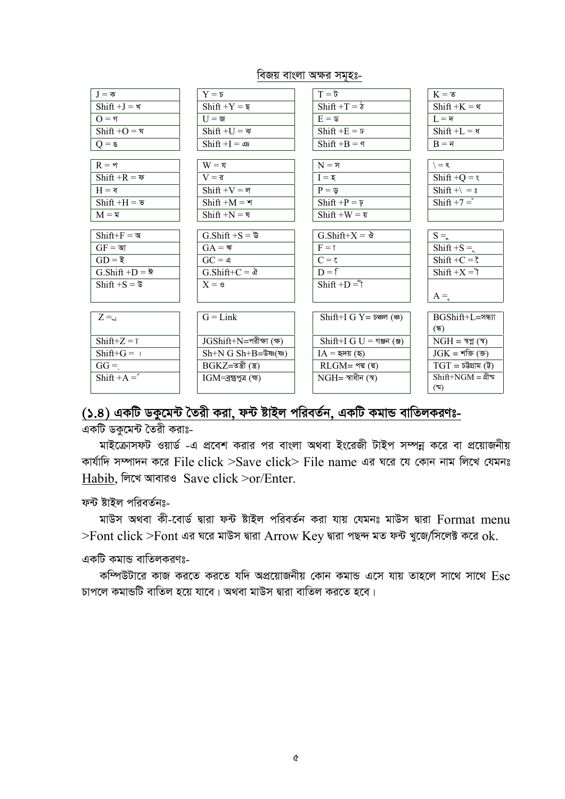#### বিজয় বাংলা অক্ষর সমহঃ-

| $J = \overline{\Phi}$                      | $Y = \sigma$                               | $\vec{v} = T$                | $K = \overline{\mathcal{S}}$       |
|--------------------------------------------|--------------------------------------------|------------------------------|------------------------------------|
| $Shift + J =$ খ                            | $Shift +Y = \overline{\mathbf{z}}$         | $Shift + T = \delta$         | $Shift + K =$                      |
| $Q = \eta$                                 | $U = \mathfrak{S}$                         | $E = \mathfrak{G}$           | $L = \overline{r}$                 |
| $Shift + O = \overline{v}$                 | $Shift + U = \n\Psi$                       | $Shift + E = \overline{v}$   | $Shift + L =$                      |
| $Q = \mathcal{C}$                          | $Shift + I = \circledast$                  | $Shift + B =$                | $B = \overline{N}$                 |
|                                            |                                            |                              |                                    |
| $R = \gamma$                               | $W = 3$                                    | $N = \overline{r}$           | $\ell =$                           |
| $Shift + R = \bar{v}$                      | $V = \overline{g}$                         | $I = \overline{\xi}$         | $Shift + Q = \ell$                 |
| $H = \pi$                                  | $Shift + V = \pi$                          | $P = \nabla$                 | Shift + $\vert$ = $\vert$          |
| $Shift + H = \mathbf{v}$                   | $Shift + M =$                              | $Shift + P = \overline{y}$   | Shift $+7 =$                       |
| $M = \overline{x}$                         | $Shift + N = \overline{a}$                 | $Shift + W = \overline{x}$   |                                    |
|                                            |                                            |                              |                                    |
| $Shift+F = \mathcal{A}$                    | G.Shift +S = $\overline{\mathbf{v}}$       | G.Shift+X = $\delta$         | $S = \alpha$                       |
| $GF = \mathfrak{A}$ া                      | $GA =$ ঋ                                   | $F = \uparrow$               | Shift +S = $\frac{1}{5}$           |
| $GD = \xi$                                 | $GC = \mathfrak{q}$                        | $C = \tau$                   | $Shift + C = \zeta$                |
| $G.Shift + D = \overline{\mathbf{\nabla}}$ | G.Shift+C = ঐ                              | $D = f$                      | $Shift + X = 7$                    |
| $Shift + S = \overline{\sigma}$            | $X = \mathcal{S}$                          | $Shift + D = \hat{ }$        |                                    |
|                                            |                                            |                              | $A =$                              |
|                                            |                                            |                              |                                    |
| $Z = \Box$                                 | $G = Link$                                 | $Shift+IGY = 5$ ঞ্চল (ঞ্চ)   | $BGShift+L = \overline{3}$ and $R$ |
|                                            |                                            |                              | (ন্ধ)                              |
| $Shift+Z=7$                                | JGShift+N=পরীক্ষা (ক্ষ)                    | $Shift+IGU = \text{num}$ (জ) | $NGH = 33(3)$                      |
| $Shift+G = 1$                              | $Sh+N G Sh+B=\bar{g}$ ষ্ণ(ষ্ণ)             | $IA = \overline{a}$ দয় (ছ)  | $JGK = \text{Tr}(\mathcal{F})$     |
| $GG =$                                     | $BGKZ = \sigma \mathfrak{A}(\mathfrak{A})$ | $RLGM = 9\pi (\pi)$          | $TGT = \vec{v}$ গুগম (উ)           |
| Shift + $A =$                              | $IGM = \frac{2}{3}$ ম্রাণুত্র (ক্ষ)        | $NGH = $ স্বাধীন (স্ব)       | $Shift+NGM =$ থীম্ম                |
|                                            |                                            |                              | $(\mathbb{N})$                     |

# (১.৪) একটি ডকুমেন্ট তৈরী করা, ফন্ট ষ্টাইল পরিবর্তন, একটি কমান্ড বাতিলকরণঃ-

একটি ডকুমেন্ট তৈরী করাঃ-

মাইক্রোসফট ওয়ার্ড -এ প্রবেশ করার পর বাংলা অথবা ইংরেজী টাইপ সম্পন্ন করে বা প্রয়োজনীয় কার্যাদি সম্পাদন করে File click  $>$ Save click $>$  File name এর ঘরে যে কোন নাম লিখে যেমনঃ Habib, লিখে আবারও Save click >or/Enter.

ফন্ট ষ্টাইল পরিবর্তনঃ-

মাউস অথবা কী-বোৰ্ড দ্বারা ফন্ট ষ্টাইল পরিবর্তন করা যায় যেমনঃ মাউস দ্বারা Format menu  $>$ Font click  $>$ Font এর ঘরে মাউস দ্বারা Arrow Key দ্বারা পছন্দ মত ফন্ট খুজে/সিলেক্ট করে ok.

একটি কমান্ড বাতিলকরণঃ-

কম্পিউটারে কাজ করতে করতে যদি অপ্রয়োজনীয় কোন কমান্ড এসে যায় তাহলে সাথে সাথে Esc চাপলে কমান্ডটি বাতিল হয়ে যাবে। অথবা মাউস দ্বারা বাতিল করতে হবে।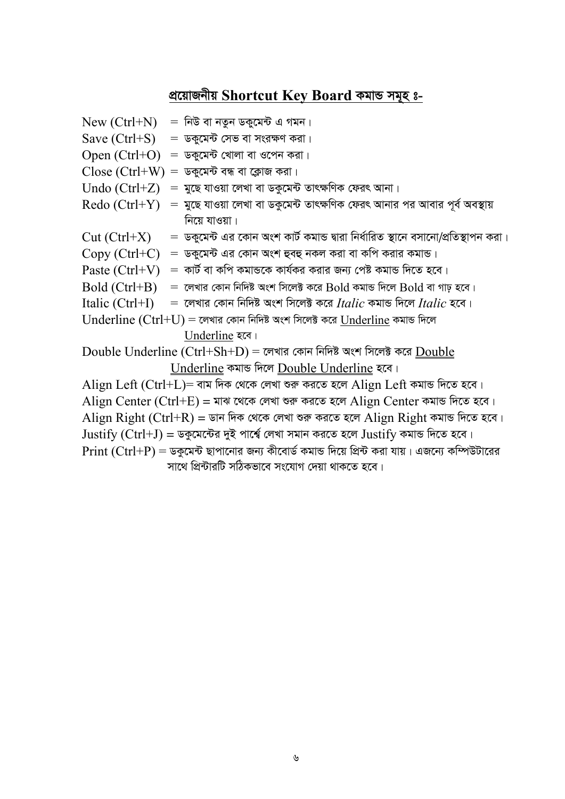# <u>প্ৰয়োজনীয় Shortcut Key Board কমাভ সমূহ ঃ-</u>

|                 | $New (Ctrl+ N)$ $=$ নিউ বা নতুন ডকুমেন্ট এ গমন।                                                                                                                                  |
|-----------------|----------------------------------------------------------------------------------------------------------------------------------------------------------------------------------|
|                 | $Save (Ctrl + S) = \overline{v}$ কুমেন্ট সেভ বা সংরক্ষণ করা।                                                                                                                     |
|                 | $Open (Ctrl + O) = \sqrt{Var}$ খোলা বা ওপেন করা।                                                                                                                                 |
|                 | $Close (Ctrl+W) = %$ ডকুমেন্ট বন্ধ বা ক্লোজ করা।                                                                                                                                 |
|                 | $\rm{Undo}$ $\rm{(Ctrl+Z)}$ $\,$ =  মুছে যাওয়া লেখা বা ডকুমেন্ট তাৎক্ষণিক ফেরৎ আনা।                                                                                             |
| Redo (Ctrl+Y)   | = মুছে যাওয়া লেখা বা ডকুমেন্ট তাৎক্ষণিক ফেরৎ আনার পর আবার পূর্ব অবস্থায়                                                                                                        |
|                 | নিয়ে যাওয়া।                                                                                                                                                                    |
| $Cut (Ctrl+X)$  | =  ডকুমেন্ট এর কোন অংশ কার্ট কমান্ড দ্বারা নির্ধারিত স্থানে বসানো/প্রতিস্থাপন করা।                                                                                               |
|                 | $Copy (Ctrl + C) = \sqrt{6}$ তুমেন্ট এর কোন অংশ হুবহু নকল করা বা কপি করার কমান্ড।                                                                                                |
| Paste (Ctrl+V)  | $\, = \,$ কার্ট বা কপি কমান্ডকে কার্যকর করার জন্য পেষ্ট কমান্ড দিতে হবে।                                                                                                         |
| Bold (Ctrl+B)   | $\epsilon = 0$ লেখার কোন নিদিষ্ট অংশ সিলেক্ট করে ${\rm Bold}$ কমান্ড দিলে ${\rm Bold}$ বা গাঢ় হবে।                                                                              |
| Italic (Ctrl+I) | $\epsilon = \epsilon$ লখার কোন নিদিষ্ট অংশ সিলেক্ট করে Itali $c$ কমান্ড দিলে Itali $c$ হবে।                                                                                      |
|                 | $\bm{\mathrm{U}}$ n $\bm{\mathrm{derline}}$ $(\bm{\mathrm{Ctrl}}+\bm{\mathrm{U}})$ $=$ লেখার কোন নিদিষ্ট অংশ সিলেক্ট করে $\bm{\mathrm{U}}$ n $\bm{\mathrm{derline}}$ কমান্ড দিলে |
|                 | Underline रत।                                                                                                                                                                    |
|                 | $\rm Double$ $\rm Underline$ $(\rm Ctrl+Sh+D)$ = লেখার কোন নিদিষ্ট অংশ সিলেক্ট করে $\rm Double$                                                                                  |
|                 | <u>Underline</u> কমান্ড দিলে <u>Double Underline</u> হবে।                                                                                                                        |
|                 | $\rm{Align\ Left\ (Ctrl+L)}$ = বাম দিক থেকে লেখা শুরু করতে হলে $\rm{Align\ Left}$ কমান্ড দিতে হবে।                                                                               |
|                 | $\rm{Align~Center~(Ctrl+E)}$ = মাঝ থেকে লেখা শুরু করতে হলে $\rm{Align~Center}$ কমান্ড দিতে হবে।                                                                                  |
|                 | $\rm{Align\ Right\ (Ctrl+R)}$ = ডান দিক থেকে লেখা শুরু করতে হলে $\rm{Align\ Right}$ কমান্ড দিতে হবে।                                                                             |
|                 | $\rm{Justify\ (Ctrl + J) = }$ ডকুমেন্টের দুই পার্শ্বে লেখা সমান করতে হলে $\rm{Justify}$ কমান্ড দিতে হবে।                                                                         |
|                 | $\mathrm{Print}\ (\mathrm{Ctrl}\!+\!\mathrm{P}) =$ ডকুমেন্ট ছাপানোর জন্য কীবোর্ড কমান্ড দিয়ে প্রিন্ট করা যায়। এজন্যে কম্পিউটারের                                               |
|                 | সাথে প্রিন্টারটি সঠিকভাবে সংযোগ দেয়া থাকতে হবে।                                                                                                                                 |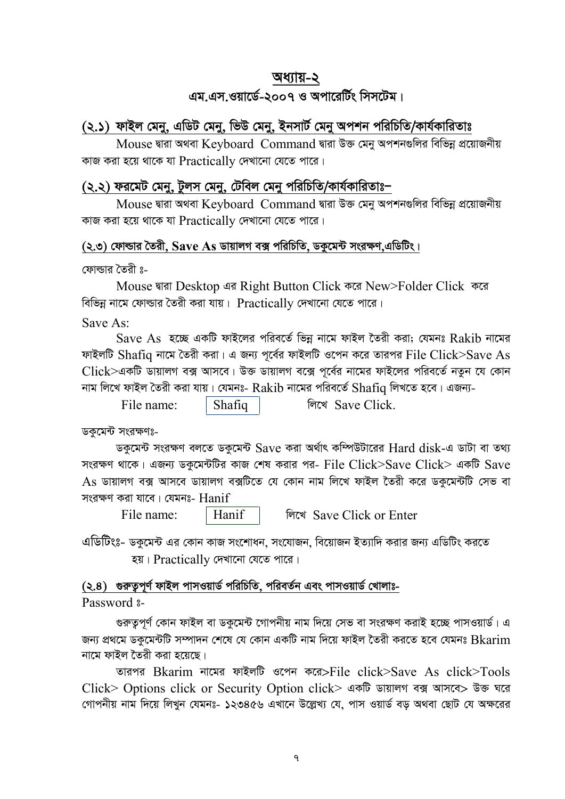## অধ্যায়-২

# এম.এস.ওয়ার্ডে-২০০৭ ও অপারের্টিং সিসটেম।

## (২.১) ফাইল মেনু, এডিট মেনু, ভিউ মেনু, ইনসার্ট মেনু অপশন পরিচিতি/কার্যকারিতাঃ

Mouse দ্বারা অথবা Keyboard Command দ্বারা উক্ত মেনু অপশনগুলির বিভিন্ন প্রয়োজনীয় কাজ করা হয়ে থাকে যা  $Practically$  দেখানো যেতে পারে।

## (২.২) ফরমেট মেনু, টুলস মেনু, টেবিল মেনু পরিচিতি/কার্যকারিতাঃ–

Mouse দ্বারা অথবা Keyboard Command দ্বারা উক্ত মেনু অপশনগুলির বিভিন্ন প্রয়োজনীয় কাজ করা হয়ে থাকে যা Practically দেখানো যেতে পারে।

## (২.৩) ফোল্ডার তৈরী,  $\operatorname{Save}$  As ডায়ালগ বক্স পরিচিতি, ডকমেন্ট সংরক্ষণ এডিটিং।

ফোল্ডার তৈরী ঃ-

Mouse দ্বারা Desktop এর Right Button Click করে New>Folder Click করে বিভিন্ন নামে ফোল্ডার তৈরী করা যায়।  $\rm \, Practically$  দেখানো যেতে পারে।

Save As:

 $Save$  As হচ্ছে একটি ফাইলের পরিবর্তে ভিন্ন নামে ফাইল তৈরী করা: যেমনঃ  $Rakib$  নামের ফাইলটি  $Shafiq$  নামে তৈরী করা। এ জন্য পূর্বের ফাইলটি ওপেন করে তারপর  $File \ Click>Save \ As$ Click>একটি ডায়ালগ বক্স আসবে। উক্ত ডায়ালগ বক্সে পূর্বের নামের ফাইলের পরিবর্তে নতুন যে কোন নাম লিখে ফাইল তৈরী করা যায়। যেমনঃ- Rakib নামের পরিবর্তে Shafia লিখতে হবে। এজন্য-

লিখে Save Click File name: Shafiq

ডকমেন্ট সংরক্ষণঃ-

ডকুমেন্ট সংরক্ষণ বলতে ডকুমেন্ট  $\operatorname{Save}$  করা অর্থাৎ কম্পিউটারের  $\operatorname{Hard}$   $\operatorname{disk}$ -এ ডাটা বা তথ্য সংরক্ষণ থাকে। এজন্য ডকুমেন্টটির কাজ শেষ করার পর- File Click>Save Click> একটি Save  $\overline{\rm As}$  ডায়ালগ বক্স আসবে ডায়ালগ বক্সটিতে যে কোন নাম লিখে ফাইল তৈরী করে ডকুমেন্টটি সেভ বা সংরক্ষণ করা যাবে। যেমনঃ- Hanif

File name:

লিখে Save Click or Enter

এডিটিংঃ- ডকুমেন্ট এর কোন কাজ সংশোধন, সংযোজন, বিয়োজন ইত্যাদি করার জন্য এডিটিং করতে হয়। Practically দেখানো যেতে পারে।

## (২.৪) গুরুতুপূর্ণ ফাইল পাসওয়ার্ড পরিচিতি, পরিবর্তন এবং পাসওয়ার্ড খোলাঃ-

Hanif

Password 3-

গুরুতুপূর্ণ কোন ফাইল বা ডকুমেন্ট গোপনীয় নাম দিয়ে সেভ বা সংরক্ষণ করাই হচ্ছে পাসওয়ার্ড। এ জন্য প্রথমে ডকুমেন্টটি সম্পাদন শেষে যে কোন একটি নাম দিয়ে ফাইল তৈরী করতে হবে যেমনঃ Bkarim নামে ফাইল তৈরী করা হয়েছে।

তারপর Bkarim নামের ফাইলটি ওপেন করে>File click>Save As click>Tools Click> Options click or Security Option click> একটি ডায়ালগ বক্স আসবে> উক্ত ঘরে গোপনীয় নাম দিয়ে লিখুন যেমনঃ- ১২৩৪৫৬ এখানে উল্লেখ্য যে, পাস ওয়ার্ড বড় অথবা ছোট যে অক্ষরের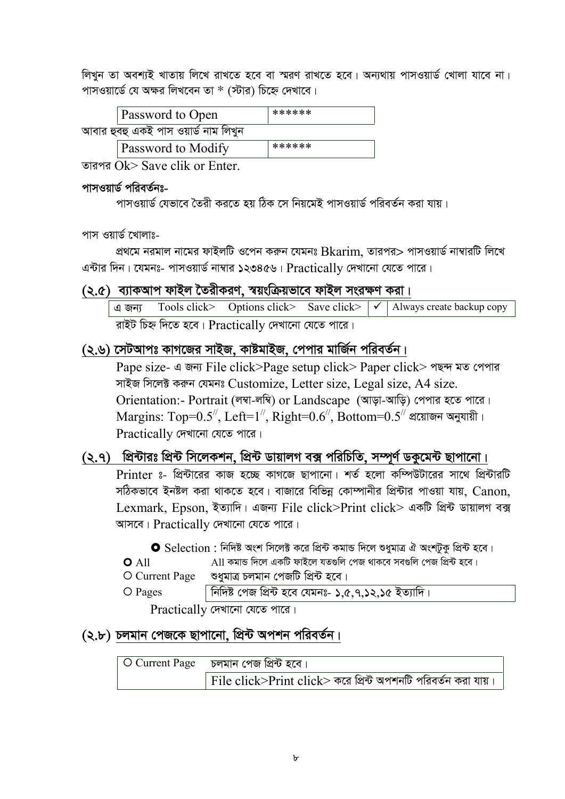লিখুন তা অবশ্যই খাতায় লিখে রাখতে হবে বা স্মরণ রাখতে হবে। অন্যথায় পাসওয়ার্ড খোলা যাবে না। পাসওয়ার্ডে যে অক্ষর লিখবেন তা \* (স্টার) চিহ্নে দেখাবে।

| <b>Password to Open</b>              | ****** |  |
|--------------------------------------|--------|--|
| আবার হুবহু একই পাস ওয়ার্ড নাম লিখুন |        |  |
| <b>Password to Modify</b>            | ****** |  |

তারপর  $\overline{Ok}$  Save clik or Enter

## পাসওয়ার্ড পরিবর্তনঃ-

পাসওয়ার্ড যেভাবে তৈরী করতে হয় ঠিক সে নিয়মেই পাসওয়ার্ড পরিবর্তন করা যায়।

## পাস ওয়ার্ড খোলাঃ-

প্রথমে নরমাল নামের ফাইলটি ওপেন করুন যেমনঃ Bkarim, তারপর> পাসওয়ার্ড নাম্বারটি লিখে এন্টার দিন। যেমনঃ- পাসওয়ার্ড নাম্বার ১২৩৪৫৬। Practically দেখানো যেতে পারে।

## (২.৫) ব্যাকআপ ফাইল তৈরীকরণ, স্বয়ংক্রিয়ভাবে ফাইল সংরক্ষণ করা।

Tools click> Options click> Save click>  $\checkmark$ Always create backup copy এ জন্য ৱাইট চিহ্ন দিতে হবে। Practically দেখানো যেতে পারে।

## (২.৬) সেটআপঃ কাগজের সাইজ, কাষ্টমাইজ, পেপার মার্জিন পরিবর্তন।

Pape size- এ জন্য File click>Page setup click> Paper click> পছন্দ মত পেপার সাইজ সিলেক্ট করুন যেমনঃ Customize, Letter size, Legal size, A4 size. Orientation:- Portrait (লম্বা-লম্বি) or Landscape (আড়া-আড়ি) পেপার হতে পারে। Margins: Top=0.5<sup>//</sup>, Left=1<sup>//</sup>, Right=0.6<sup>//</sup>, Bottom=0.5<sup>//</sup> প্রয়োজন অনুযায়ী। Practically দেখানো যেতে পারে।

## (২.৭) প্রিন্টারঃ প্রিন্ট সিলেকশন, প্রিন্ট ডায়ালগ বক্স পরিচিতি, সম্পূর্ণ ডকুমেন্ট ছাপানো।

Printer ঃ- প্রিন্টারের কাজ হচ্ছে কাগজে ছাপানো। শর্ত হলো কম্পিউটারের সাথে প্রিন্টারটি সঠিকভাবে ইনষ্টল করা থাকতে হবে। বাজারে বিভিন্ন কোম্পানীর প্রিন্টার পাওয়া যায়, Canon, Lexmark, Epson, ইত্যাদি। এজন্য File click>Print click> একটি প্রিন্ট ডায়ালগ বক্স আসবে।  $Practically$  দেখানো যেতে পারে।

|                  | $\bullet$ Selection : নিদিষ্ট অংশ সিলেক্ট করে প্রিন্ট কমান্ড দিলে শুধুমাত্র ঐ অংশটুকু প্রিন্ট হবে। |
|------------------|----------------------------------------------------------------------------------------------------|
| $O$ All          | All কমান্ড দিলে একটি ফাইলে যতগুলি পেজ থাকবে সবগুলি পেজ প্ৰিন্ট হবে।                                |
| O Current Page   | শুধুমাত্র চলমান পেজটি প্রিন্ট হবে।                                                                 |
| $\bigcirc$ Pages | । নিদিষ্ট পেজ প্রিন্ট হবে যেমনঃ- ১,৫,৭,১২,১৫ ইত্যাদি।                                              |

Practically দেখানো যেতে পারে।

## (২.৮) চলমান পেজকে ছাপানো, প্রিন্ট অপশন পরিবর্তন।

| O Current Page     চলমান পেজ প্ৰিন্ট হবে।                            |
|----------------------------------------------------------------------|
| $\mid$ File click>Print click> করে প্রিন্ট অপশনটি পরিবর্তন করা যায়। |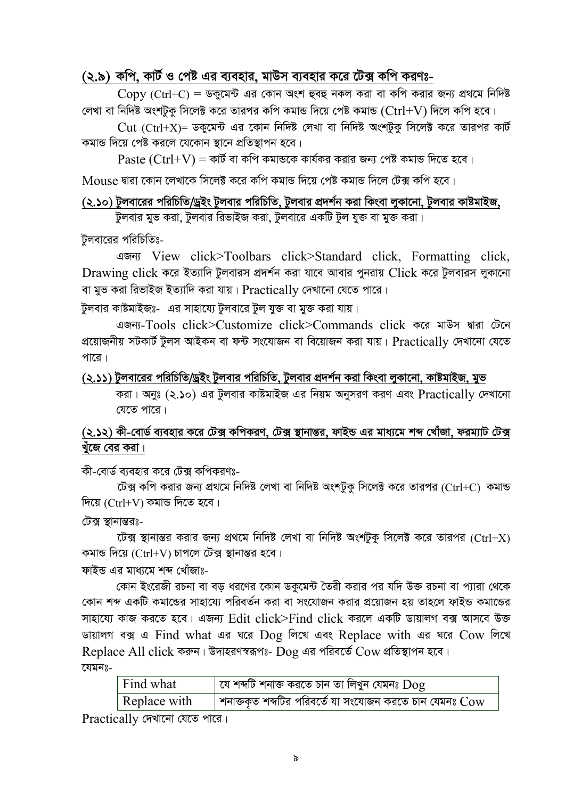## (২.৯) কপি, কার্ট ও পেষ্ট এর ব্যবহার, মাউস ব্যবহার করে টেক্স কপি করণঃ-

 $\text{Conv (Ctrl+C)} =$  ডকুমেন্ট এর কোন অংশ হুবহু নকল করা বা কপি করার জন্য প্রথমে নিদিষ্ট লেখা বা নিদিষ্ট অংশটক সিলেক্ট করে তারপর কপি কমান্ড দিয়ে পেষ্ট কমান্ড ( $\rm{Ctrl+V}$ ) দিলে কপি হবে।

 $Cut$  (Ctrl+X)= ডকুমেন্ট এর কোন নিদিষ্ট লেখা বা নিদিষ্ট অংশটুকু সিলেক্ট করে তারপর কার্ট কমান্ড দিয়ে পেষ্ট করলে যেকোন স্থানে প্রতিস্থাপন হবে।

 $Paste (Ctrl+V) = \Phi\vec{b}$  বা কপি কমান্ডকে কার্যকর করার জন্য পেষ্ট কমান্ড দিতে হবে।

 $M$ ouse দ্বারা কোন লেখাকে সিলেক্ট করে কপি কমান্ড দিয়ে পেষ্ট কমান্ড দিলে টেক্স কপি হবে।

### (২.১০) টুলবারের পরিচিতি/ড্রইং টুলবার পরিচিতি, টুলবার প্রদর্শন করা কিংবা লুকানো, টুলবার কাষ্টমাইজ,

টুলবার মুভ করা, টুলবার রিভাইজ করা, টুলবারে একটি টুল যুক্ত বা মুক্ত করা।

টুলবারের পরিচিতিঃ-

GRb¨ View click>Toolbars click>Standard click, Formatting click, Drawing click করে ইত্যাদি টুলবারস প্রদর্শন করা যাবে আবার পুনরায় Click করে টুলবারস লুকানো বা মুভ করা রিভাইজ ইত্যাদি করা যায়।  $\Pr\{P:\|P\|\leq r\}$  দেখানো যেতে পারে।

টুলবার কাষ্টমাইজঃ- এর সাহায্যে টুলবারে টুল যুক্ত বা মুক্ত করা যায়।

এজন্য-Tools click>Customize click>Commands click করে মাউস দ্বারা টেনে প্রয়োজনীয় সটকার্ট টুলস আইকন বা ফন্ট সংযোজন বা বিয়োজন করা যায়।  $\rm{Practically}$  দেখানো যেতে পারে।

(২.১১) টুলবারের পরিচিতি/ড্রইং টুলবার পরিচিতি, টুলবার প্রদর্শন করা কিংবা লুকানো, কাষ্টমাইজ, মুভ

করা। অনুঃ (২.১০) এর টুলবার কাষ্টমাইজ এর নিয়ম অনুসরণ করণ এবং Practically দেখানো যেতে পারে।

## (২.১২) কী-বোর্ড ব্যবহার করে টেক্স কপিকরণ, টেক্স স্থানান্তর, ফাইন্ড এর মাধ্যমে শব্দ খোঁজা, ফরম্যাট টেক্স খুঁজে বের করা।

কী-বোর্ড ব্যবহার করে টেক্স কপিকরণঃ-

টেক্স কপি করার জন্য প্রথমে নিদিষ্ট লেখা বা নিদিষ্ট অংশটুকু সিলেক্ট করে তারপর (Ctrl+C) কমান্ড দিয়ে  $(Ctrl+V)$  কমান্ড দিতে হবে।

টেক্স স্থানান্তরঃ-

টেক্স স্থানান্তর করার জন্য প্রথমে নিদিষ্ট লেখা বা নিদিষ্ট অংশটুকু সিলেক্ট করে তারপর (Ctrl+X) কমান্ড দিয়ে (Ctrl+V) চাপলে টেক্স স্থানান্তর হবে।

ফাইভ এর মাধ্যমে শব্দ খোঁজাঃ-

কোন ইংরেজী রচনা বা বড় ধরণের কোন ডকুমেন্ট তৈরী করার পর যদি উক্ত রচনা বা প্যারা থেকে কোন শব্দ একটি কমান্ডের সাহায্যে পরিবর্তন করা বা সংযোজন করার প্রয়োজন হয় তাহলে ফাইন্ড কমান্ডের সাহায্যে কাজ করতে হবে। এজন্য Edit click>Find click করলে একটি ডায়ালগ বক্স আসবে উক্ত what what as vice Replace with as vice Cow for  $R$ eplace All click করুন। উদাহরণস্বরূপঃ-  $D$ og এর পরিবর্তে  $C$ ow প্রতিস্থাপন হবে।

 $\overline{c}$ যমন $\overline{c}$ -

| Find what    | $\mid$ যে শব্দটি শনাক্ত করতে চান তা লিখুন যেমনঃ $\operatorname{Dog}$ |
|--------------|----------------------------------------------------------------------|
| Replace with | শনাক্তকৃত শব্দটির পরিবর্তে যা সংযোজন করতে চান যেমনঃ ${\rm Cov}$      |

Practically দেখানো যেতে পারে।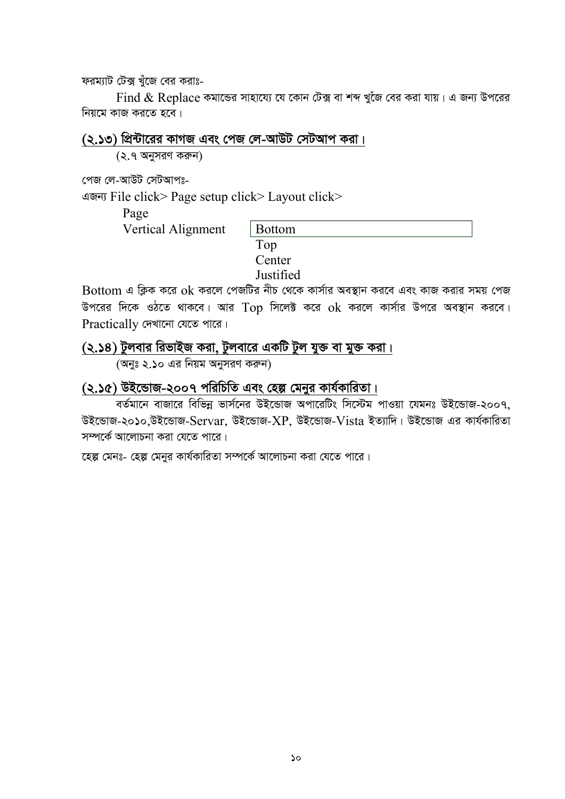ফরম্যাট টেক্স খঁজে বের করাঃ-

Find  $\&$  Replace কমান্ডের সাহায্যে যে কোন টেক্স বা শব্দ খুঁজে বের করা যায়। এ জন্য উপরের নিয়মে কাজ করতে হবে।

(২.১৩) প্রিন্টারের কাগজ এবং পেজ লে-আউট সেটআপ করা।

 $(2.9$  অনুসরণ করুন)

পেজ লে-আউট সেটআপঃ-

GRb¨ File click> Page setup click> Layout click>

Page

Vertical Alignment

| <b>Bottom</b>       |  |  |
|---------------------|--|--|
| Top                 |  |  |
| Center              |  |  |
| $T \rightarrow C$ 1 |  |  |

**Justified** 

 $B$ ottom এ ক্লিক করে  $\alpha$ k করলে পেজটির নীচ থেকে কার্সার অবস্থান করবে এবং কাজ করার সময় পেজ উপরের দিকে ওঠতে থাকবে। আর  $Top$  সিলেক্ট করে  $ok$  করলে কার্সার উপরে অবস্থান করবে। Practically দেখানো যেতে পারে।

 $(2.58)$  টুলবার রিভাইজ করা, টুলবারে একটি টুল যুক্ত বা মুক্ত করা।

 $(\bar{a},\bar{b})$  এর নিয়ম অনুসরণ করুন)

## (২.১৫) উইন্ডোজ-২০০৭ পরিচিতি এবং হেল্প মেনুর কার্যকারিতা।

বর্তমানে বাজারে বিভিন্ন ভার্সনের উইন্ডোজ অপারেটিং সিস্টেম পাওয়া যেমনঃ উইন্ডোজ-২০০৭, উইভোজ-২০১০,উইভোজ-Servar, উইভোজ-XP, উইভোজ-Vista ইত্যাদি। উইভোজ এর কার্যকারিতা সম্পৰ্কে আলোচনা করা যেতে পারে।

হেল্প মেনঃ- হেল্প মেনুর কার্যকারিতা সম্পর্কে আলোচনা করা যেতে পারে।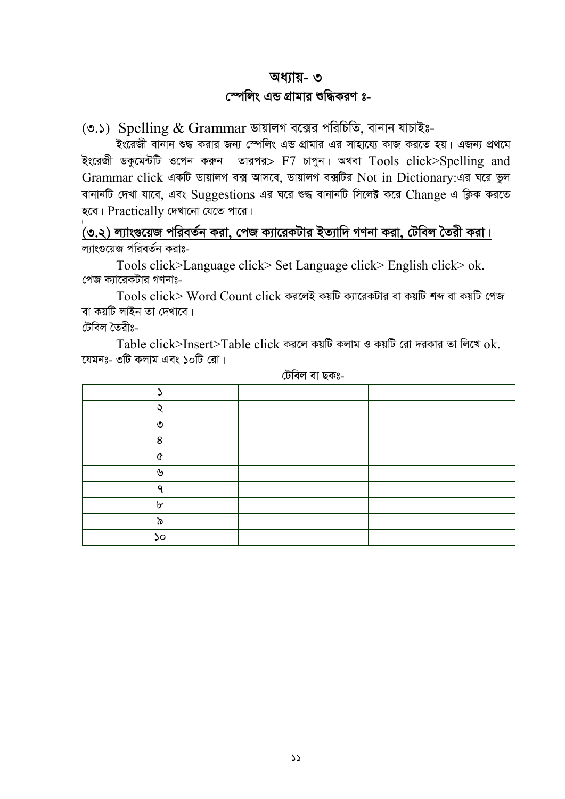## <u>অধ্যায়- ৩</u>

## $\epsilon$ স্পলিং এন্ড গ্রামার শুদ্ধিকরণ ঃ-

 $(0.5)$  Spelling  $&$  Grammar ডায়ালগ বক্সের পরিচিতি, বানান যাচাইঃ-

Bs‡iRx evbvb ï× Kivi Rb¨ †¯úwjs GÛ MÖvgvi Gi mvnv‡h¨ KvR Ki‡Z nq| GRb¨ cÖ\_‡g ইংরেজী ডকুমেন্টটি ওপেন করুন তারপর>  $F7$  চাপুন। অথবা  $Tools$   $click$   $Spelling$  and Grammar click একটি ডায়ালগ বক্স আসবে, ডায়ালগ বক্সটির Not in Dictionary:এর ঘরে ভুল বানানটি দেখা যাবে, এবং Suggestions এর ঘরে শুদ্ধ বানানটি সিলেক্ট করে Change এ ক্লিক করতে হবে।  $Practically$  দেখানো যেতে পারে।

 $\dot{f}$ (৩.২) ল্যাংগুয়েজ পরিবর্তন করা, পেজ ক্যারেকটার ইত্যাদি গণনা করা, টেবিল তৈরী করা। ল্যাংগুয়েজ পরিবর্তন করাঃ-

Tools click>Language click> Set Language click> English click> ok. পেজ ক্যারেকটার গণনাঃ-

Tools click> Word Count click করলেই কয়টি ক্যারেকটার বা কয়টি শব্দ বা কয়টি পেজ বা কয়টি লাইন তা দেখাবে।

টেবিল তৈরীঃ-

Table click>Insert>Table click করলে কয়টি কলাম ও কয়টি রো দরকার তা লিখে  $\alpha$ k. যেমনঃ- ৩টি কলাম এবং ১০টি রো।

| $\sqrt{2}$   |  |
|--------------|--|
| $\circ$<br>Ω |  |
| r            |  |
| الما         |  |
| ⌒            |  |
| ᢈ            |  |
| ൜            |  |
| ۵o           |  |

টেবিল বা ছকঃ-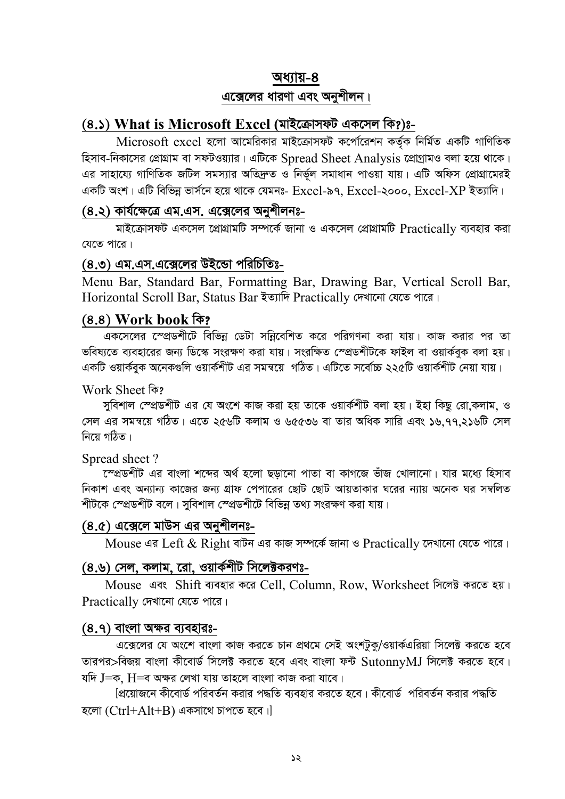#### <u>অধ্যায়-৪</u>

## **এক্সেলের ধারণা এবং অনুশীলন।**

## **(8.)** What is Microsoft Excel (মাইক্রোসফট একসেল কি?)ঃ-

Microsoft excel হলো আমেরিকার মাইক্রোসফট কর্পোরেশন কর্তৃক নির্মিত একটি গাণিতিক হিসাব-নিকাসের প্রোগ্রাম বা সফটওয়্যার। এটিকে Spread Sheet Analysis শ্রোগ্রামও বলা হয়ে থাকে। এর সাহায্যে গাণিতিক জটিল সমস্যার অতিদ্রুত ও নির্ভুল সমাধান পাওয়া যায়। এটি অফিস প্রোগ্রামেরই একটি অংশ। এটি বিভিন্ন ভার্সনে হয়ে থাকে যেমনঃ-  $\rm Excel$ -৯৭,  $\rm Excel$ -২০০০,  $\rm Excel$ - $XP$  ইত্যাদি।

## <u>(৪.২) কার্যক্ষেত্রে এম.এস. এক্সেলের অনুশীলনঃ-</u>

মাইক্রোসফট একসেল প্রোগ্রামটি সম্পর্কে জানা ও একসেল প্রোগ্রামটি  $\rm{Practically}$  ব্যবহার করা যেতে পারে।

#### (৪.৩) এম.এস.এক্সেলের উইন্ডো পরিচিতিঃ-

Menu Bar, Standard Bar, Formatting Bar, Drawing Bar, Vertical Scroll Bar, Horizontal Scroll Bar, Status Bar ইত্যাদি Practically দেখানো যেতে পারে।

### $(8.8)$  Work book কি?

একসেলের স্প্রেডশীটে বিভিন্ন ডেটা সন্নিবেশিত করে পরিগণনা করা যায়। কাজ করার পর তা ভবিষ্যতে ব্যবহারের জন্য ডিস্কে সংরক্ষণ করা যায়। সংরক্ষিত স্প্রেডশীটকে ফাইল বা ওয়ার্কবক বলা হয়। একটি ওয়ার্কবুক অনেকগুলি ওয়ার্কশীট এর সমন্বয়ে গঠিত। এটিতে সর্বোচ্চ ২২৫টি ওয়ার্কশীট নেয়া যায়।

Work Sheet कि?

সুবিশাল স্প্রেডশীট এর যে অংশে কাজ করা হয় তাকে ওয়ার্কশীট বলা হয়। ইহা কিছু রো,কলাম, ও সেল এর সমন্বয়ে গঠিত। এতে ২৫৬টি কলাম ও ৬৫৫৩৬ বা তার অধিক সারি এবং ১৬.৭৭.২১৬টি সেল নিয়ে গঠিত।

#### Spread sheet ?

ক্সেত্তশীট এর বাংলা শব্দের অর্থ হলো ছড়ানো পাতা বা কাগজে ভাঁজ খোলানো। যার মধ্যে হিসাব নিকাশ এবং অন্যান্য কাজের জন্য গ্রাফ পেপারের ছোট ছোট আয়তাকার ঘরের ন্যায় অনেক ঘর সম্বলিত শীটকে স্প্রেডশীট বলে। সুবিশাল স্প্রেডশীটে বিভিন্ন তথ্য সংরক্ষণ করা যায়।

## **(8.৫) এক্সেলে মাউস এর অনুশীলনঃ-**

Mouse এর Left  $\&$  Right বাটন এর কাজ সম্পর্কে জানা ও Practically দেখানো যেতে পারে।

## **(8.৬) সেল, কলাম, রো, ওয়ার্কশীট সিলেক্টকরণঃ-**

Mouse এবং Shift ব্যবহার করে Cell, Column, Row, Worksheet সিলেক্ট করতে হয়।  $Practically$  দেখানো যেতে পারে।

#### **(8.9) বাংলা অক্ষর ব্যবহারঃ-**

এক্সেলের যে অংশে বাংলা কাজ করতে চান প্রথমে সেই অংশটুকু/ওয়ার্কএরিয়া সিলেক্ট করতে হবে তারপর $>$ বিজয় বাংলা কীবোর্ড সিলেক্ট করতে হবে এবং বাংলা ফন্ট  $\operatorname{Sutonnv}$ MJ সিলেক্ট করতে হবে। যদি J $=$ ক, H $=$ ব অক্ষর লেখা যায় তাহলে বাংলা কাজ করা যাবে।

 $\beta$ প্লিয়োজনে কীবোর্ড পরিবর্তন করার পদ্ধতি ব্যবহার করতে হবে। কীবোর্ড পরিবর্তন করার পদ্ধতি হলো  $(Ctrl+Alt+B)$  একসাথে চাপতে হবে।]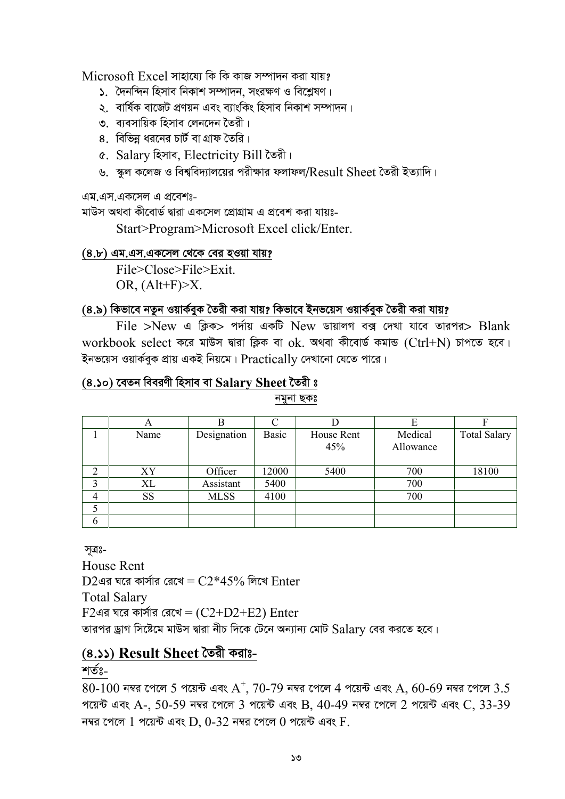$Microsoft$   $Excel$  সাহায়ো কি কি কাজ সম্পাদন করা যায়?

- $\Omega$  দৈনন্দিন হিসাব নিকাশ সম্পাদন, সংরক্ষণ ও বিশ্লেষণ।
- ২. বাৰ্ষিক বাজেট প্ৰণয়ন এবং ব্যাংকিং হিসাব নিকাশ সম্পাদন।
- ৩ ব্যবসায়িক হিসাব লেনদেন তৈরী।
- $8.$  বিভিন্ন ধরনের চার্ট বা গ্রাফ তৈরি।
- ৫. Salary হিসাব, Electricity Bill তৈরী।
- ৬. স্কুল কলেজ ও বিশ্ববিদ্যালয়ের পরীক্ষার ফলাফল/ $\operatorname{Result}$  Sheet তৈরী ইত্যাদি।

এম.এস.একসেল এ প্রবেশঃ-

মাউস অথবা কীবোর্ড দ্বারা একসেল প্রোগ্রাম এ প্রবেশ করা যায়ঃ-

Start>Program>Microsoft Excel click/Enter.

## **(8.৮) এম.এস.একসেল থেকে বের হওয়া যায়?**

File>Close>File>Exit. OR,  $(Alt+F) \geq X$ .

## (৪.৯) কিভাবে নতুন ওয়ার্কবুক তৈরী করা যায়? কিভাবে ইনভয়েস ওয়ার্কবুক তৈরী করা যায়?

 $File$  >New এ ক্লিক> পর্দায় একটি New ডায়ালগ বক্স দেখা যাবে তারপর> Blank workbook select করে মাউস দ্বারা ক্লিক বা ok. অথবা কীবোর্ড কমান্ড (Ctrl+N) চাপতে হবে। ইনভয়েস ওয়ার্কবুক প্রায় একই নিয়মে।  $\rm{Practically}$  দেখানো যেতে পারে।

## **(4.10) ‡eZb weeiYx wnmve ev Salary Sheet ‰Zix t**

নমুনা ছকঃ

|                | A         | В           |       |                   |                      |                     |
|----------------|-----------|-------------|-------|-------------------|----------------------|---------------------|
|                | Name      | Designation | Basic | House Rent<br>45% | Medical<br>Allowance | <b>Total Salary</b> |
| っ              | XY        | Officer     | 12000 | 5400              | 700                  | 18100               |
| 3              | XL        | Assistant   | 5400  |                   | 700                  |                     |
| $\overline{4}$ | <b>SS</b> | <b>MLSS</b> | 4100  |                   | 700                  |                     |
| 5              |           |             |       |                   |                      |                     |
| 6              |           |             |       |                   |                      |                     |

সূত্ৰঃ-

House Rent  $D2$ এর ঘরে কার্সার রেখে =  $C2*45%$  লিখে Enter Total Salary  $F2$ এর ঘরে কার্সার রেখে = ( $C2+D2+E2$ ) Enter তারপর ড্রাগ সিষ্টেমে মাউস দ্বারা নীচ দিকে টেনে অন্যান্য মোট  $\operatorname{Salarv}$  বের করতে হবে।

## **(4.11) Result Sheet ˆZix Kivt-**

শৰ্তঃ-

 $80\text{-}100$  নম্বর পেলে 5 পয়েন্ট এবং  $\text{A}^{+},$   $70\text{-}79$  নম্বর পেলে  $4$  পয়েন্ট এবং  $\text{A},$   $60\text{-}69$  নম্বর পেলে  $3.5$ পয়েন্ট এবং A-, 50-59 নম্বর পেলে 3 পয়েন্ট এবং B, 40-49 নম্বর পেলে 2 পয়েন্ট এবং C, 33-39 নম্বর পেলে  $1$  পয়েন্ট এবং  $D$ ,  $0$ - $32$  নম্বর পেলে  $0$  পয়েন্ট এবং  $F$ .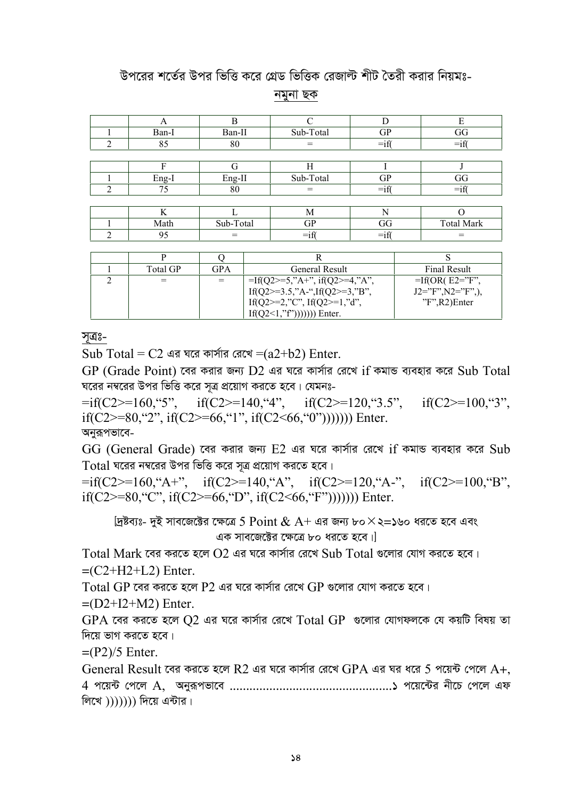# উপরের শর্তের উপর ভিত্তি করে গ্রেড ভিত্তিক রেজাল্ট শীট তৈরী করার নিয়মঃ-

নমুনা ছক

|   |       | В         |           |         |                   |
|---|-------|-----------|-----------|---------|-------------------|
|   | Ban-I | Ban-II    | Sub-Total | GP      | GG                |
| ◠ | 85    | 80        |           | $=$ if  | $=$ if            |
|   |       |           |           |         |                   |
|   | F     | G         | Н         |         |                   |
|   | Eng-I | Eng-II    | Sub-Total | GP      | GG                |
| ◠ | 75    | 80        | =         | $=$ if( | $=$ if            |
|   |       |           |           |         |                   |
|   | K     |           | M         | N       |                   |
|   | Math  | Sub-Total | GР        | GG      | <b>Total Mark</b> |
|   | 95    |           | $=$ 11    | =ıi     |                   |

| Total GP- | GPA | General Result                   | Final Result            |
|-----------|-----|----------------------------------|-------------------------|
|           |     | $=$ If(Q2>=5,"A+", if(Q2>=4,"A", | $=$ If(OR(E2="F",       |
|           |     | If(Q2>=3.5,"A-",If(Q2>=3,"B",    | $J2 = "F", N2 = "F",),$ |
|           |     | If(Q2>=2,"C", If(Q2>=1,"d",      | $"F", R2$ )Enter        |
|           |     | $If (Q2<1,"f''))))$ )) Enter.    |                         |

সূত্রঃ-

Sub Total =  $C2$  এর ঘরে কার্সার রেখে =(a2+b2) Enter.

 $GP$  (Grade Point) বের করার জন্য  $D2$  এর ঘরে কার্সার রেখে if কমান্ড ব্যবহার করে Sub Total ঘরের নম্বরের উপর ভিত্তি করে সূত্র প্রয়োগ করতে হবে। যেমনঃ-

 $=$ if(C2>=160, "5", if(C2>=140, "4", if(C2>=120, "3.5", if(C2>=100, "3", if(C2>=80, "2", if(C2>=66, "1", if(C2<66, "0"))))))) Enter. অনুরূপভাবে-

 $GG$  (General Grade) বের করার জন্য  $E2$  এর ঘরে কার্সার রেখে if কমান্ড ব্যবহার করে Sub  $\operatorname{Total}$  ঘরের নম্বরের উপর ভিত্তি করে সত্র প্রয়োগ করতে হবে।

 $=$ if(C2>=160, "A+", if(C2>=140, "A", if(C2>=120, "A-", if(C2>=100, "B", if(C2>=80, "C", if(C2>=66, "D", if(C2<66, "F"))))))) Enter.

[দ্রষ্টব্যঃ- দুই সাবজেক্টের ক্ষেত্রে 5 Point  $\&$  A+ এর জন্য ৮০ $\times$ ২=১৬০ ধরতে হবে এবং এক সাবজেক্টের ক্ষেত্রে ৮০ ধরতে হবে।।

Total Mark বের করতে হলে  $O2$  এর ঘরে কার্সার রেখে Sub Total গুলোর যোগ করতে হবে।  $=(C2+H2+L2)$  Enter.

 $\overline{1}$ otal GP বের করতে হলে P2 এর ঘরে কার্সার রেখে GP গুলোর যোগ করতে হবে।

 $=(D2+I2+M2)$  Enter.

 $GPA$  বের করতে হলে  $O2$  এর ঘরে কার্সার রেখে  $Total GP$  গুলোর যোগফলকে যে কয়টি বিষয় তা দিয়ে ভাগ করতে হবে।

 $=(P2)/5$  Enter.

General Result বের করতে হলে R2 এর ঘরে কার্সার রেখে GPA এর ঘর ধরে 5 পয়েন্ট পেলে A+. লিখে  $))))$ )) দিয়ে এন্টার।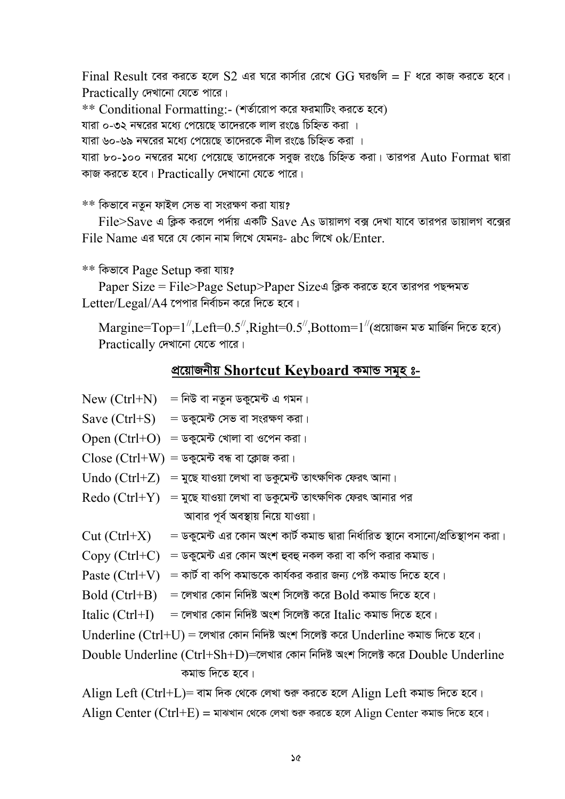$Final$  Result বের করতে হলে  $S2$  এর ঘরে কার্সার রেখে  $GG$  ঘরগুলি =  $F$  ধরে কাজ করতে হবে।  $Practically$  দেখানো যেতে পারে।

 $**$  Conditional Formatting:- (শর্তারোপ করে ফরমাটিং করতে হবে)

যারা ০-৩২ নম্বরের মধ্যে পেয়েছে তাদেরকে লাল রংঙে চিহ্নিত করা ।

যারা ৬০-৬৯ নম্বরের মধ্যে পেয়েছে তাদেরকে নীল রংঙে চিহ্নিত করা ।

যারা ৮০-১০০ নম্বরের মধ্যে পেয়েছে তাদেরকে সবুজ রংঙে চিহ্নিত করা। তারপর  $\overline{\mathrm{Aut}}\mathrm{O}\ \mathrm{Format}$  দ্বারা কাজ করতে হবে।  $Practically$  দেখানো যেতে পারে।

 $**$  কিভাবে নতুন ফাইল সেভ বা সংরক্ষণ করা যায়?

 $File>$ Save এ ক্লিক করলে পর্দায় একটি Save As ডায়ালগ বক্স দেখা যাবে তারপর ডায়ালগ বক্সের  $File$   $Name$  এর ঘরে যে কোন নাম লিখে যেমনঃ- a $bc$  লিখে  $ok/Enter$ 

 $**$  কিভাবে Page Setup করা যায়?

Paper Size = File>Page Setup>Paper Sizeএ ক্লিক করতে হবে তারপর পছন্দমত  $Letter/Legal/A4$  পেপার নির্বাচন করে দিতে হবে।

 $\text{Margine}= \text{Top} = 1^{\prime\prime}$ ,  $\text{Left}=0.5^{\prime\prime}$ ,  $\text{Right}=0.5^{\prime\prime}$ ,  $\text{Bottom}=1^{\prime\prime}$ (প্ৰয়োজন মত মাৰ্জিন দিতে হবে)  $Practically$  (मयात्मा यिर्छ भारत।

## **প্ৰয়োজনীয় Shortcut Keyboard কমাভ সমূহ ঃ-**

- $New (Ctrl+N) = \widehat{N}$ বাউ বা নতুন ডকুমেন্ট এ গমন।
- $Save (Ctrl + S) = \mathbb{E}$ কুমেন্ট সেভ বা সংরক্ষণ করা।
- $Open (Ctrl + O) =$ ডকুমেন্ট খোলা বা ওপেন করা।
- $Close (Ctrl+W) =$ ডকুমেন্ট বন্ধ বা ক্লোজ করা।
- $U$ ndo  $(CtrI+Z) = \frac{1}{2}$ ছে যাওয়া লেখা বা ডকুমেন্ট তাৎক্ষণিক ফেরৎ আনা।
- $Redo (Ctrl+Y) = \frac{1}{4\pi}$ ছ যাওয়া লেখা বা ডকুমেন্ট তাৎক্ষণিক ফেরৎ আনার পর আবার পূর্ব অবস্থায় নিয়ে যাওয়া।
- $Cut (Ctrl+X) = \mathbb{E}$ ফুমেন্ট এর কোন অংশ কার্ট কমান্ড দ্বারা নির্ধারিত স্থানে বসানো/প্রতিস্থাপন করা।
- $Copy (Ctrl+C) =$  ডকুমেন্ট এর কোন অংশ হুবহু নকল করা বা কপি করার কমান্ড।
- $Paste (Ctrl+V) = \overline{E}$  বার্ট বা কপি কমান্ডকে কার্যকর করার জন্য পেষ্ট কমান্ড দিতে হবে।
- $Bold (Ctrl+B) = \overline{C}$ লখার কোন নিদিষ্ট অংশ সিলেক্ট করে  $Bold$  কমান্ড দিতে হবে।
- Italic (Ctrl+I) = লেখার কোন নিদিষ্ট অংশ সিলেক্ট করে Italic কমান্ড দিতে হবে।
- $Underline (Ctrl+U) = \vec{q}$ পার কোন নিদিষ্ট অংশ সিলেক্ট করে Underline কমান্ড দিতে হবে।

Double Underline (Ctrl+Sh+D)=লেখার কোন নিদিষ্ট অংশ সিলেক্ট করে Double Underline কমান্ড দিতে হবে।

Align Left (Ctrl+L)= বাম দিক থেকে লেখা শুরু করতে হলে Align Left কমান্ড দিতে হবে।  $\text{Align Center (Ctrl+E)} = \text{NAV}$  যার পেকে লেখা শুরু করতে হলে  $\text{Align Center}$  কমান্ড দিতে হবে।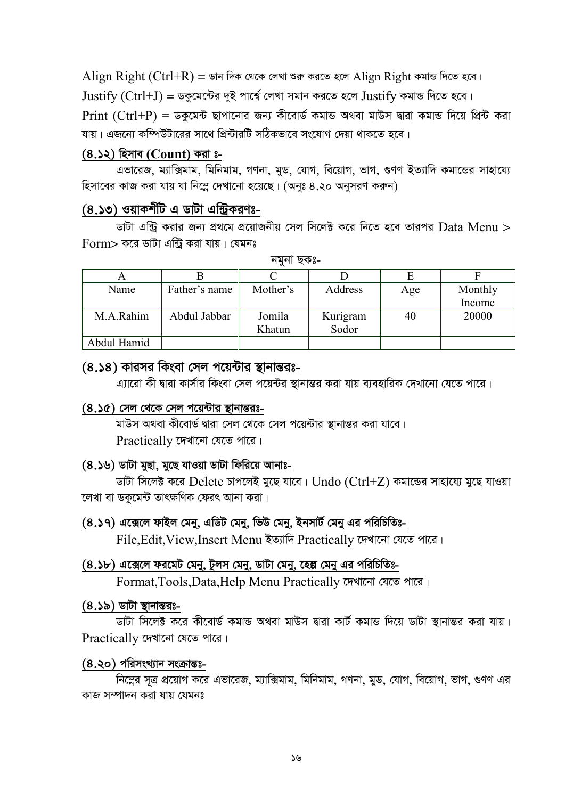Align Right (Ctrl+R) = ডান দিক থেকে লেখা শুরু করতে হলে Align Right কমান্ড দিতে হবে।  $Justify (Ctrl+J) =$  ডকুমেন্টের দুই পার্শ্বে লেখা সমান করতে হলে  $Justify$  কমান্ড দিতে হবে। Print  $(Ctrl+P)$  = ডকুমেন্ট ছাপানোর জন্য কীবোর্ড কমান্ড অথবা মাউস দ্বারা কমান্ড দিয়ে প্রিন্ট করা যায়। এজন্যে কম্পিউটারের সাথে প্রিন্টারটি সঠিকভাবে সংযোগ দেয়া থাকতে হবে।

#### **(4.12) wnmve (Count) Kiv t-**

এভারেজ, ম্যাক্সিমাম, মিনিমাম, গণনা, মুড, যোগ, বিয়োগ, ভাগ, গুণণ ইত্যাদি কমান্ডের সাহায্যে হিসাবের কাজ করা যায় যা নিম্নে দেখানো হয়েছে। (অনুঃ ৪.২০ অনুসরণ করুন)

## **(8.১৩) ওয়াকর্শীট এ ডাটা এন্ট্রিকরণঃ-**

ডাটা এন্ট্রি করার জন্য প্রথমে প্রয়োজনীয় সেল সিলেক্ট করে নিতে হবে তারপর  $\mathrm{Data}~\mathrm{Mean} >$  $\Gamma$ orm> করে ডাটা এন্ট্রি করা যায়। যেমনঃ

| Α           |               |          |          | Е   |         |
|-------------|---------------|----------|----------|-----|---------|
| Name        | Father's name | Mother's | Address  | Age | Monthly |
|             |               |          |          |     | Income  |
| M.A.Rahim   | Abdul Jabbar  | Jomila   | Kurigram | 40  | 20000   |
|             |               | Khatun   | Sodor    |     |         |
| Abdul Hamid |               |          |          |     |         |

নমুনা ছকঃ-

### <u>(৪.১৪) কারসর কিংবা সেল পয়েন্টার স্থানান্তরঃ-</u>

এ্যারো কী দ্বারা কার্সার কিংবা সেল পয়েন্টর স্থানান্তর করা যায় ব্যবহারিক দেখানো যেতে পারে।

#### **(8.১৫)** সেল থেকে সেল পয়েন্টার স্থানান্তরঃ-

মাউস অথবা কীবোর্ড দ্বারা সেল থেকে সেল পয়েন্টার স্থানান্তর করা যাবে। Practically দেখানো যেতে পারে।

#### **(৪.১৬) ডাটা মুছা, মুছে যাওয়া ডাটা ফিরিয়ে আনাঃ-**

ডাটা সিলেক্ট করে Delete চাপলেই মুছে যাবে। Undo (Ctrl+Z) কমান্ডের সাহায্যে মুছে যাওয়া লেখা বা ডকমেন্ট তাৎক্ষণিক ফেরৎ আনা করা।

#### (8.১৭) এক্সেলে ফাইল মেনু, এডিট মেনু, ভিউ মেনু, ইনসার্ট মেনু এর পরিচিতিঃ-

File, Edit, View, Insert Menu ইত্যাদি Practically দেখানো যেতে পারে।

#### (8.১৮) এক্সেলে ফরমেট মেনু, টুলস মেনু, ডাটা মেনু, হেল্প মেনু এর পরিচিতিঃ-

Format, Tools, Data, Help Menu Practically দেখানো যেতে পারে।

#### **(8.১৯)** ডাটা স্থানান্তরঃ-

ডাটা সিলেক্ট করে কীবোর্ড কমান্ড অথবা মাউস দ্বারা কার্ট কমান্ড দিয়ে ডাটা স্থানান্তর করা যায়।  $Practically$  দেখানো যেতে পারে।

#### **(8.২০) পরিসংখ্যান সংক্রান্তঃ-**

নিমের সত্র প্রয়োগ করে এভারেজ, ম্যাক্সিমাম, মিনিমাম, গণনা, মুড, যোগ, বিয়োগ, ভাগ, গুণণ এর কাজ সম্পাদন করা যায় যেমনঃ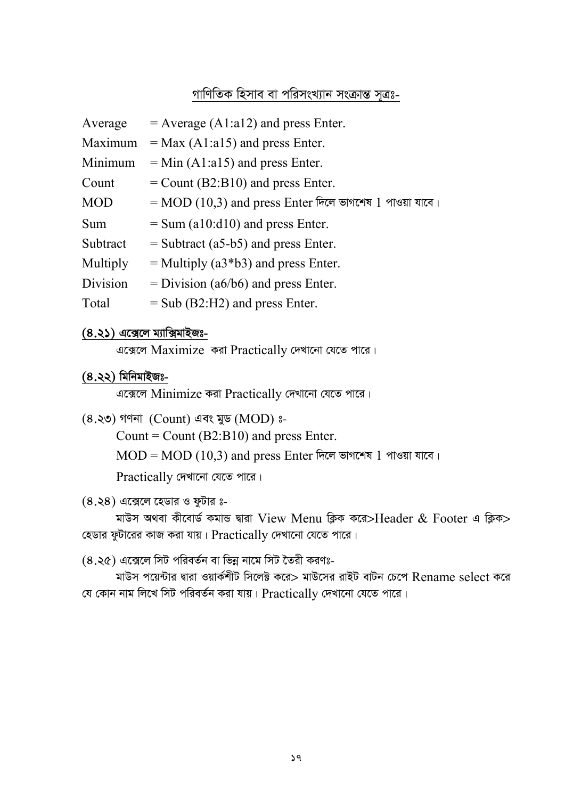## গাণিতিক হিসাব বা পরিসংখ্যান সংক্রান্ত সত্রঃ-

| $=$ Average (A1:a12) and press Enter.                     |
|-----------------------------------------------------------|
| $=$ Max (A1:a15) and press Enter.                         |
| $=$ Min (A1:a15) and press Enter.                         |
| $=$ Count (B2:B10) and press Enter.                       |
| $=$ MOD (10,3) and press Enter দিলে ভাগশেষ 1 পাওয়া যাবে। |
| $=$ Sum (a10:d10) and press Enter.                        |
| $=$ Subtract (a5-b5) and press Enter.                     |
| $=$ Multiply (a3*b3) and press Enter.                     |
| $=$ Division (a6/b6) and press Enter.                     |
| $=$ Sub (B2:H2) and press Enter.                          |
|                                                           |

## **(8.২১) এক্সেলে ম্যাক্সিমাইজঃ-**

এক্সেলে Maximize করা Practically দেখানো যেতে পারে।

### **(4.22) wgwbgvBRt-**

এক্সেলে Minimize করা Practically দেখানো যেতে পারে।

 $(8.30)$  গণনা (Count) এবং মুড (MOD) ঃ-

Count = Count  $(B2:B10)$  and press Enter.

 $MOD = MOD (10,3)$  and press Enter দিলে ভাগশেষ 1 পাওয়া যাবে।

 $Practically$  দেখানো যেতে পারে।

 $(8.38)$  এক্সেলে হেডার ও ফুটার ঃ-

মাউস অথবা কীবোৰ্ড কমান্ড দ্বারা View Menu ক্লিক করে>Header & Footer এ ক্লিক> হেডার ফুটারের কাজ করা যায়।  $Practically$  দেখানো যেতে পারে।

 $(8.36)$  এক্সেলে সিট পরিবর্তন বা ভিন্ন নামে সিট তৈরী করণঃ-

মাউস পয়েন্টার দ্বারা ওয়ার্কশীট সিলেক্ট করে> মাউসের রাইট বাটন চেপে  $\rm{Rename\ select}$  করে যে কোন নাম লিখে সিট পরিবর্তন করা যায়।  $\Pr\{P:\|X\|\leq R\}$  দেখানো যেতে পারে।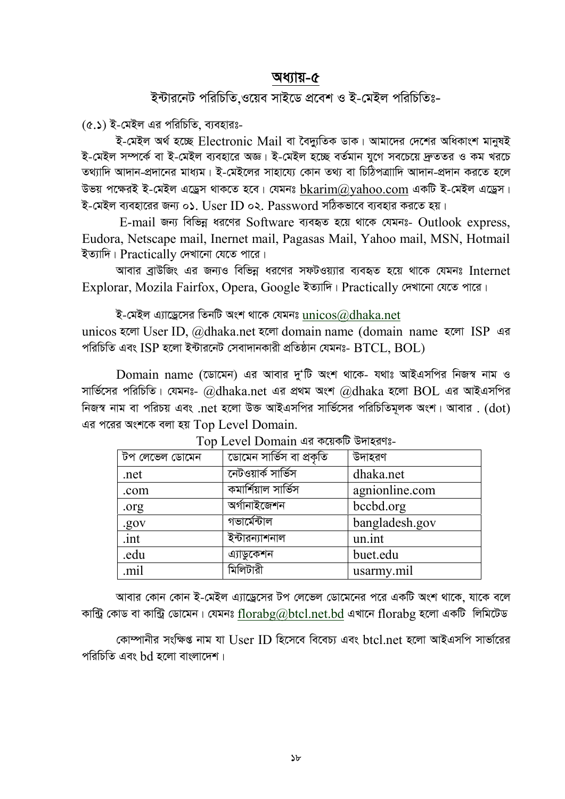## অধ্যায়-৫

## ইন্টারনেট পরিচিতি ওয়েব সাইডে প্রবেশ ও ই-মেইল পরিচিতিঃ-

(৫.১) ই-মেইল এর পরিচিতি, ব্যবহারঃ-

ই-মেইল অৰ্থ হচ্ছে Electronic Mail বা বৈদ্যতিক ডাক। আমাদের দেশের অধিকাংশ মানুষই ই-মেইল সম্পর্কে বা ই-মেইল ব্যবহারে অজ্ঞ। ই-মেইল হচ্ছে বর্তমান যগে সবচেয়ে দেততর ও কম খরচে তথ্যাদি আদান-প্রদানের মাধ্যম। ই-মেইলের সাহায়্যে কোন তথ্য বা চিঠিপত্রাাদি আদান-প্রদান করতে হলে উভয় পক্ষেরই ই-মেইল এড্রেস থাকতে হবে। যেমনঃ  $bkarin(a)$ vahoo.com একটি ই-মেইল এড্রেস। ই-মেইল ব্যবহারের জন্য ০১. User ID ০২. Password সঠিকভাবে ব্যবহার করতে হয়।

E-mail জন্য বিভিন্ন ধরণের Software ব্যবহৃত হয়ে থাকে যেমনঃ- Outlook express, Eudora, Netscape mail, Inernet mail, Pagasas Mail, Yahoo mail, MSN, Hotmail ইত্যাদি। Practically দেখানো যেতে পারে।

আবার ব্রাউজিং এর জন্যও বিভিন্ন ধরণের সফটওয়্যার ব্যবহৃত হয়ে থাকে যেমনঃ Internet Explorar, Mozila Fairfox, Opera, Google ইত্যাদি। Practically দেখানো যেতে পারে।

ই-মেইল এ্যাড্রেসের তিনটি অংশ থাকে যেমনঃ  $\operatorname{unicos}(\widehat{a})$ dhaka.net

unicos হলো User ID, @dhaka.net হলো domain name (domain name হলো ISP এর পরিচিতি এবং ISP হলো ইন্টারনেট সেবাদানকারী প্রতিষ্ঠান যেমনঃ-  $\operatorname{BTCL}$ .  $\operatorname{BOL}$ )

Domain name (ডোমেন) এর আবার দু'টি অংশ থাকে- যথাঃ আইএসপির নিজস্ব নাম ও সার্ভিসের পরিচিতি। যেমনঃ- @dhaka.net এর প্রথম অংশ @dhaka হলো BOL এর আইএসপির নিজস্ব নাম বা পরিচয় এবং .net হলো উক্ত আইএসপির সার্ভিসের পরিচিতিমূলক অংশ। আবার . (dot) এর পরের অংশকে বলা হয় Top Level Domain.

| টপ লেভেল ডোমেন | ডোমেন সার্ভিস বা প্রকৃতি | উদাহরণ         |
|----------------|--------------------------|----------------|
| .net           | নেটওয়ার্ক সার্ভিস       | dhaka.net      |
| .com           | কমার্শিয়াল সার্ভিস      | agnionline.com |
| .org           | অৰ্গানাইজেশন             | bccbd.org      |
| .gov           | গভাৰ্মেন্টাল             | bangladesh.gov |
| .int           | ইন্টারন্যাশনাল           | un.int         |
| .edu           | এ্যাডুকেশন               | buet.edu       |
| mil.           | মিলিটারী                 | usarmy.mil     |

Top Level Domain এর কয়েকটি উদাহরণঃ-

আবার কোন কোন ই-মেইল এ্যাড্রেসের টপ লেভেল ডোমেনের পরে একটি অংশ থাকে. যাকে বলে কান্ট্রি কোড বা কান্ট্রি ডোমেন। যেমনঃ florabg $@$ btcl.net.bd এখানে florabg হলো একটি লিমিটেড

কোম্পানীর সংক্ষিপ্ত নাম যা User ID হিসেবে বিবেচ্য এবং btcl net হলো আইএসপি সার্ভারের পরিচিতি এবং hd হলো বাংলাদেশ।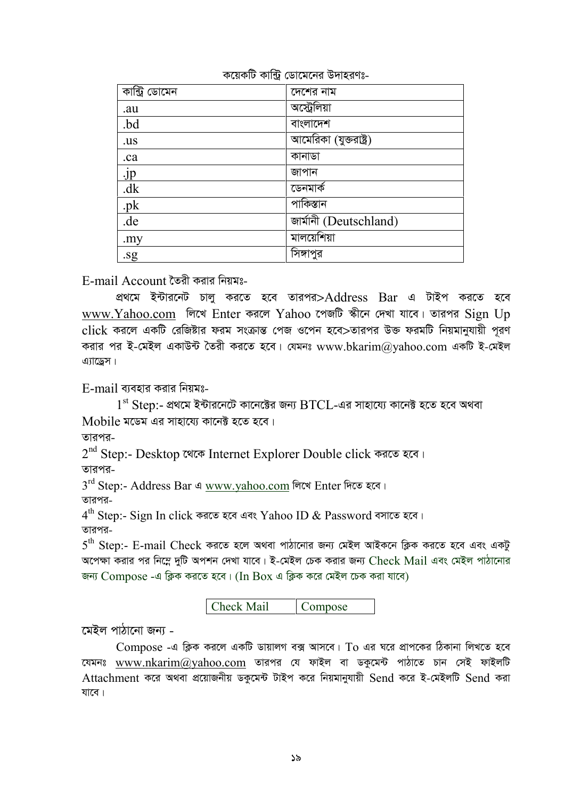| কান্ট্ৰি ডোমেন  | দেশের নাম              |
|-----------------|------------------------|
| .au             | অস্ট্রেলিয়া           |
| .bd             | বাংলাদেশ               |
| .us             | আমেরিকা (যুক্তরাষ্ট্র) |
| .ca             | কানাডা                 |
| $\frac{jp}{dk}$ | জাপান                  |
|                 | ডেনমাৰ্ক               |
| .pk             | পাকিস্তান              |
| .de             | জার্মানী (Deutschland) |
| .my             | মালয়েশিয়া            |
| .sg             | সিঙ্গাপুর              |

কয়েকটি কান্ট্রি ডোমেনের উদাহরণঃ-

E-mail Account তৈরী করার নিয়মঃ-

প্রথমে ইন্টারনেট চালু করতে হবে তারপর>Address Bar এ টাইপ করতে হবে www.Yahoo.com লিখে Enter করলে Yahoo পেজটি স্কীনে দেখা যাবে। তারপর Sign Up click করলে একটি রেজিষ্টার ফরম সংক্রান্ত পেজ ওপেন হবে>তারপর উক্ত ফরমটি নিয়মানুযায়ী পুরণ করার পর ই-মেইল একাউন্ট তৈরী করতে হবে। যেমনঃ www.bkarim@yahoo.com একটি ই-মেইল এ্যাডেস।

 $E$ -mail ব্যবহার করার নিয়মঃ-

 $1^{\rm st}$  Step:- প্রথমে ইন্টারনেটে কানেক্টের জন্য  $\rm {BTCL}$ -এর সাহায্যে কানেক্ট হতে হবে অথবা  $M$ obile মডেম এর সাহায্যে কানেক্ট হতে হবে।

তাৱপৱ\_

 $2^{\rm nd}$  Step:- Desktop থেকে Internet Explorer Double click করতে হবে। তারপর-

3<sup>rd</sup> Step:- Address Bar এ <u>www.yahoo.com</u> লিখে Enter দিতে হবে।

তারপর-

 $4^{\rm th}$  Step:- Sign In click করতে হবে এবং  ${\rm Y}$ ahoo ID  $\&$  Password বসাতে হবে। তারপর-

 $5^{\rm th}$  Step:- E-mail Check করতে হলে অথবা পাঠানোর জন্য মেইল আইকনে ক্লিক করতে হবে এবং একটু অপেক্ষা করার পর নিম্নে দুটি অপশন দেখা যাবে। ই-মেইল চেক করার জন্য Check Mail এবং মেইল পাঠানোর জন্য  $Compose$  -এ ক্লিক করতে হবে। (In  $Box$  এ ক্লিক করে মেইল চেক করা যাবে)

| Check Mail | Compose |
|------------|---------|
|------------|---------|

মেইল পাঠানো জন্য -

 $Compose$  -এ ক্লিক করলে একটি ডায়ালগ বক্স আসবে।  $To$  এর ঘরে প্রাপকের ঠিকানা লিখতে হবে যেমনঃ www.nkarim@yahoo.com তারপর যে ফাইল বা ডকুমেন্ট পাঠাতে চান সেই ফাইলটি Attachment করে অথবা প্রয়োজনীয় ডকুমেন্ট টাইপ করে নিয়মানুযায়ী Send করে ই-মেইলটি Send করা যাবে।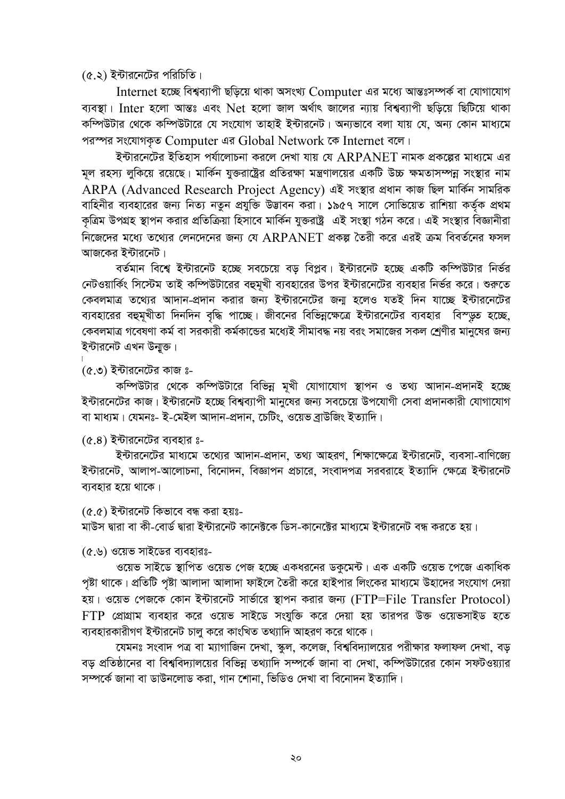$(6.5)$  ইন্টারনেটের পরিচিতি।

Internet হচ্ছে বিশ্বব্যাপী ছড়িয়ে থাকা অসংখ্য Computer এর মধ্যে আন্তঃসম্পর্ক বা যোগাযোগ ব্যবস্থা। Inter হলো আন্তঃ এবং Net হলো জাল অৰ্থাৎ জালের ন্যায় বিশ্বব্যাপী ছড়িয়ে ছিটিয়ে থাকা কম্পিউটার থেকে কম্পিউটারে যে সংযোগ তাহাই ইন্টারনেট। অন্যভাবে বলা যায় যে, অন্য কোন মাধ্যমে পরস্পর সংযোগকৃত Computer এর Global Network কে Internet বলে।

ইন্টারনেটের ইতিহাস পর্যালোচনা করলে দেখা যায় যে  $\mathbf{ARPANET}$  নামক প্রকল্পের মাধ্যমে এর মল রহস্য লকিয়ে রয়েছে। মার্কিন যক্তরাষ্ট্রের প্রতিরক্ষা মন্ত্রণালয়ের একটি উচ্চ ক্ষমতাসম্পন্ন সংস্থার নাম ARPA (Advanced Research Project Agency) এই সংস্থার প্রধান কাজ ছিল মার্কিন সামরিক বাহিনীর ব্যবহারের জন্য নিত্য নতুন প্রযুক্তি উদ্ভাবন করা। ১৯৫৭ সালে সোভিয়েত রাশিয়া কর্তৃক প্রথম কৃত্রিম উপগ্রহ স্থাপন করার প্রতিক্রিয়া হিসাবে মার্কিন যুক্তরাষ্ট্র এই সংস্থা গঠন করে। এই সংস্থার বিজ্ঞানীরা নিজেদের মধ্যে তথ্যের লেনদেনের জন্য যে ARPANET প্রকল্প তৈরী করে এরই ক্রম বিবর্তনের ফসল আজকের ইন্টারনেট।

বর্তমান বিশ্বে ইন্টারনেট হচ্ছে সবচেয়ে বড় বিপ্লব। ইন্টারনেট হচ্ছে একটি কম্পিউটার নির্ভর নেটওয়ার্কিং সিস্টেম তাই কম্পিউটারের বহুমুখী ব্যবহারের উপর ইন্টারনেটের ব্যবহার নির্ভর করে। শুরুতে কেবলমাত্র তথ্যের আদান-প্রদান করার জন্য ইন্টারনেটের জন্ম হলেও যতই দিন যাচ্ছে ইন্টারনেটের ব্যবহারের বহুমুখীতা দিনদিন বৃদ্ধি পাচ্ছে। জীবনের বিভিন্নক্ষেত্রে ইন্টারনেটের ব্যবহার বিস্ডুত হচ্ছে, কেবলমাত্র গবেষণা কর্ম বা সরকারী কর্মকান্ডের মধ্যেই সীমাবদ্ধ নয় বরং সমাজের সকল শ্রেণীর মানুষের জন্য ইন্টারনেট এখন উন্মুক্ত।

 $(6.9)$  ইন্টারনেটের কাজ ঃ-

কম্পিউটার থেকে কম্পিউটারে বিভিন্ন মুখী যোগাযোগ স্থাপন ও তথ্য আদান-প্রদানই হচ্ছে ইন্টারনেটের কাজ। ইন্টারনেট হচ্ছে বিশ্বব্যাপী মানুষের জন্য সবচেয়ে উপযোগী সেবা প্রদানকারী যোগাযোগ বা মাধ্যম। যেমনঃ- ই-মেইল আদান-প্ৰদান, চেটিং, ওয়েভ ব্ৰাউজিং ইত্যাদি।

 $(6.8)$  ইন্টারনেটের ব্যবহার ঃ-

ইন্টারনেটের মাধ্যমে তথ্যের আদান-প্রদান, তথ্য আহরণ, শিক্ষাক্ষেত্রে ইন্টারনেট, ব্যবসা-বাণিজ্যে ইন্টারনেট, আলাপ-আলোচনা, বিনোদন, বিজ্ঞাপন প্রচারে, সংবাদপত্র সরবরাহে ইত্যাদি ক্ষেত্রে ইন্টারনেট ব্যবহার হয়ে থাকে।

 $(c.c)$  ইন্টারনেট কিভাবে বন্ধ করা হয়ঃ-

মাউস দ্বারা বা কী-বোর্ড দ্বারা ইন্টারনেট কানেক্টকে ডিস-কানেক্টের মাধ্যমে ইন্টারনেট বন্ধ করতে হয়।

(৫.৬) ওয়েভ সাইডের ব্যবহারঃ-

ওয়েভ সাইডে স্থাপিত ওয়েভ পেজ হচ্ছে একধরনের ডকুমেন্ট। এক একটি ওয়েভ পেজে একাধিক পৃষ্টা থাকে। প্রতিটি পৃষ্টা আলাদা আলাদা ফাইলে তৈরী করে হাইপার লিংকের মাধ্যমে উহাদের সংযোগ দেয়া হয়। ওয়েভ পেজকে কোন ইন্টারনেট সার্ভারে স্থাপন করার জন্য (FTP=File Transfer Protocol)  $FTP$  প্রোগ্রাম ব্যবহার করে ওয়েভ সাইডে সংযুক্তি করে দেয়া হয় তারপর উক্ত ওয়েভসাইড হতে ব্যবহারকারীগণ ইন্টারনেট চালু করে কাংখিত তথ্যাদি আহরণ করে থাকে।

যেমনঃ সংবাদ পত্র বা ম্যাগাজিন দেখা, স্কুল, কলেজ, বিশ্ববিদ্যালয়ের পরীক্ষার ফলাফল দেখা, বড় বড প্রতিষ্ঠানের বা বিশ্ববিদ্যালয়ের বিভিন্ন তথ্যাদি সম্পর্কে জানা বা দেখা, কম্পিউটারের কোন সফটওয়্যার সম্পৰ্কে জানা বা ডাউনলোড করা, গান শোনা, ভিডিও দেখা বা বিনোদন ইত্যাদি।